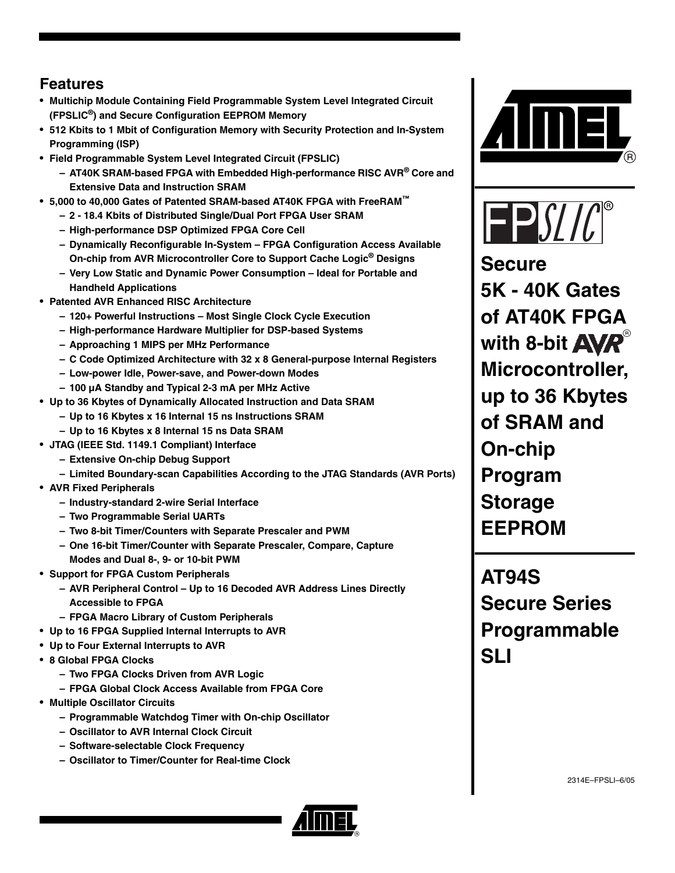## **Features**

- **Multichip Module Containing Field Programmable System Level Integrated Circuit (FPSLIC®) and Secure Configuration EEPROM Memory**
- **512 Kbits to 1 Mbit of Configuration Memory with Security Protection and In-System Programming (ISP)**
- **Field Programmable System Level Integrated Circuit (FPSLIC)**
	- **AT40K SRAM-based FPGA with Embedded High-performance RISC AVR® Core and Extensive Data and Instruction SRAM**
- **5,000 to 40,000 Gates of Patented SRAM-based AT40K FPGA with FreeRAM™**
	- **2 18.4 Kbits of Distributed Single/Dual Port FPGA User SRAM**
	- **High-performance DSP Optimized FPGA Core Cell**
	- **Dynamically Reconfigurable In-System FPGA Configuration Access Available On-chip from AVR Microcontroller Core to Support Cache Logic® Designs**
	- **Very Low Static and Dynamic Power Consumption Ideal for Portable and Handheld Applications**
- **Patented AVR Enhanced RISC Architecture**
	- **120+ Powerful Instructions Most Single Clock Cycle Execution**
	- **High-performance Hardware Multiplier for DSP-based Systems**
	- **Approaching 1 MIPS per MHz Performance**
	- **C Code Optimized Architecture with 32 x 8 General-purpose Internal Registers**
	- **Low-power Idle, Power-save, and Power-down Modes**
	- **100 µA Standby and Typical 2-3 mA per MHz Active**
- **Up to 36 Kbytes of Dynamically Allocated Instruction and Data SRAM**
	- **Up to 16 Kbytes x 16 Internal 15 ns Instructions SRAM**
	- **Up to 16 Kbytes x 8 Internal 15 ns Data SRAM**
- **JTAG (IEEE Std. 1149.1 Compliant) Interface**
	- **Extensive On-chip Debug Support**
	- **Limited Boundary-scan Capabilities According to the JTAG Standards (AVR Ports)**
- **AVR Fixed Peripherals**
	- **Industry-standard 2-wire Serial Interface**
	- **Two Programmable Serial UARTs**
	- **Two 8-bit Timer/Counters with Separate Prescaler and PWM**
	- **One 16-bit Timer/Counter with Separate Prescaler, Compare, Capture Modes and Dual 8-, 9- or 10-bit PWM**
- **Support for FPGA Custom Peripherals**
	- **AVR Peripheral Control Up to 16 Decoded AVR Address Lines Directly Accessible to FPGA**
	- **FPGA Macro Library of Custom Peripherals**
- **Up to 16 FPGA Supplied Internal Interrupts to AVR**
- **Up to Four External Interrupts to AVR**
- **8 Global FPGA Clocks**
	- **Two FPGA Clocks Driven from AVR Logic**
	- **FPGA Global Clock Access Available from FPGA Core**
- **Multiple Oscillator Circuits**
	- **Programmable Watchdog Timer with On-chip Oscillator**
	- **Oscillator to AVR Internal Clock Circuit**
	- **Software-selectable Clock Frequency**
	- **Oscillator to Timer/Counter for Real-time Clock**





**Secure 5K - 40K Gates of AT40K FPGA**  with 8-bit **AVR Microcontroller, up to 36 Kbytes of SRAM and On-chip Program Storage EEPROM**

**AT94S Secure Series Programmable SLI**

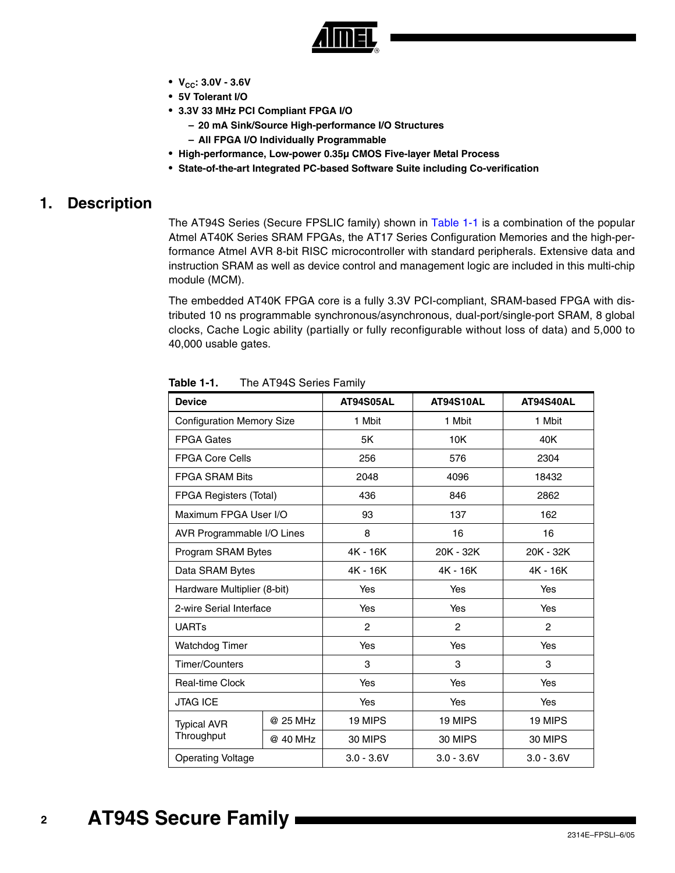

- $\bullet$  V<sub>CC</sub>: 3.0V 3.6V
- **5V Tolerant I/O**
- **3.3V 33 MHz PCI Compliant FPGA I/O**
	- **20 mA Sink/Source High-performance I/O Structures**
	- **All FPGA I/O Individually Programmable**
- **High-performance, Low-power 0.35µ CMOS Five-layer Metal Process**
- **State-of-the-art Integrated PC-based Software Suite including Co-verification**

## **1. Description**

The AT94S Series (Secure FPSLIC family) shown in [Table 1-1](#page-1-0) is a combination of the popular Atmel AT40K Series SRAM FPGAs, the AT17 Series Configuration Memories and the high-performance Atmel AVR 8-bit RISC microcontroller with standard peripherals. Extensive data and instruction SRAM as well as device control and management logic are included in this multi-chip module (MCM).

The embedded AT40K FPGA core is a fully 3.3V PCI-compliant, SRAM-based FPGA with distributed 10 ns programmable synchronous/asynchronous, dual-port/single-port SRAM, 8 global clocks, Cache Logic ability (partially or fully reconfigurable without loss of data) and 5,000 to 40,000 usable gates.

| <b>Device</b>                    |          | <b>AT94S05AL</b> | AT94S10AL      | AT94S40AL      |
|----------------------------------|----------|------------------|----------------|----------------|
| <b>Configuration Memory Size</b> |          | 1 Mbit           | 1 Mbit         | 1 Mbit         |
| <b>FPGA Gates</b>                |          | 5K               | 10K            | 40K            |
| <b>FPGA Core Cells</b>           |          | 256              | 576            | 2304           |
| <b>FPGA SRAM Bits</b>            |          | 2048             | 4096           | 18432          |
| <b>FPGA Registers (Total)</b>    |          | 436              | 846            | 2862           |
| Maximum FPGA User I/O            |          | 93               | 137            | 162            |
| AVR Programmable I/O Lines       |          | 8                | 16             | 16             |
| Program SRAM Bytes               |          | 4K - 16K         | 20K - 32K      | 20K - 32K      |
| Data SRAM Bytes                  |          | 4K - 16K         | 4K - 16K       | 4K - 16K       |
| Hardware Multiplier (8-bit)      |          | Yes              | Yes            | Yes            |
| 2-wire Serial Interface          |          | Yes              | Yes            | Yes            |
| <b>UARTs</b>                     |          | 2                | $\overline{c}$ | $\overline{2}$ |
| <b>Watchdog Timer</b>            |          | <b>Yes</b>       | Yes            | Yes            |
| <b>Timer/Counters</b>            |          | 3                | 3              | 3              |
| <b>Real-time Clock</b>           |          | <b>Yes</b>       | Yes            | <b>Yes</b>     |
| <b>JTAG ICE</b>                  |          | Yes              | Yes            | Yes            |
| <b>Typical AVR</b>               | @ 25 MHz | 19 MIPS          | 19 MIPS        | 19 MIPS        |
| Throughput                       | @ 40 MHz | 30 MIPS          | 30 MIPS        | 30 MIPS        |
| <b>Operating Voltage</b>         |          | $3.0 - 3.6V$     | $3.0 - 3.6V$   | $3.0 - 3.6V$   |

<span id="page-1-0"></span>**Table 1-1.** The AT94S Series Family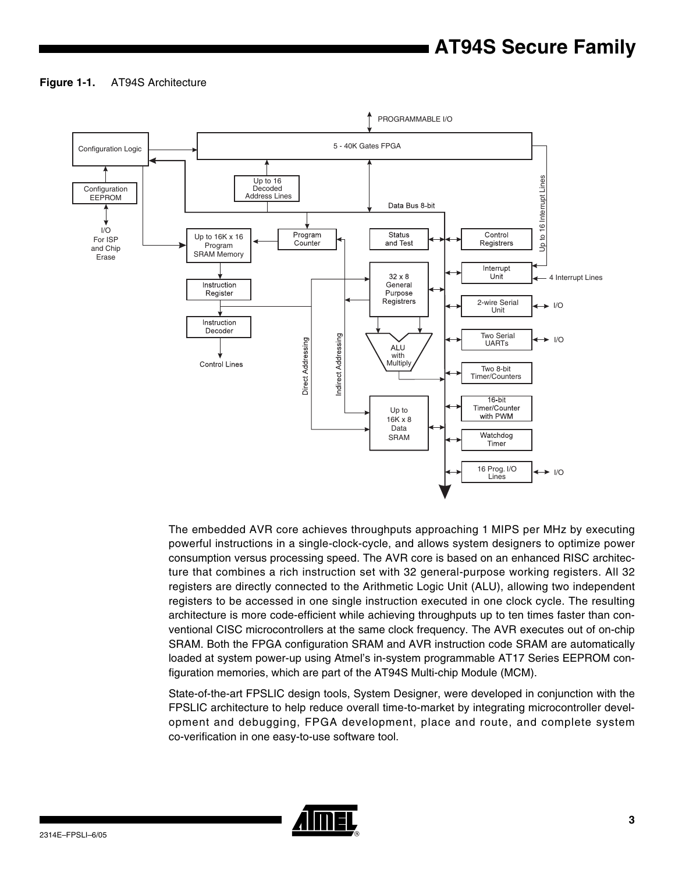## **Figure 1-1.** AT94S Architecture



The embedded AVR core achieves throughputs approaching 1 MIPS per MHz by executing powerful instructions in a single-clock-cycle, and allows system designers to optimize power consumption versus processing speed. The AVR core is based on an enhanced RISC architecture that combines a rich instruction set with 32 general-purpose working registers. All 32 registers are directly connected to the Arithmetic Logic Unit (ALU), allowing two independent registers to be accessed in one single instruction executed in one clock cycle. The resulting architecture is more code-efficient while achieving throughputs up to ten times faster than conventional CISC microcontrollers at the same clock frequency. The AVR executes out of on-chip SRAM. Both the FPGA configuration SRAM and AVR instruction code SRAM are automatically loaded at system power-up using Atmel's in-system programmable AT17 Series EEPROM configuration memories, which are part of the AT94S Multi-chip Module (MCM).

State-of-the-art FPSLIC design tools, System Designer, were developed in conjunction with the FPSLIC architecture to help reduce overall time-to-market by integrating microcontroller development and debugging, FPGA development, place and route, and complete system co-verification in one easy-to-use software tool.

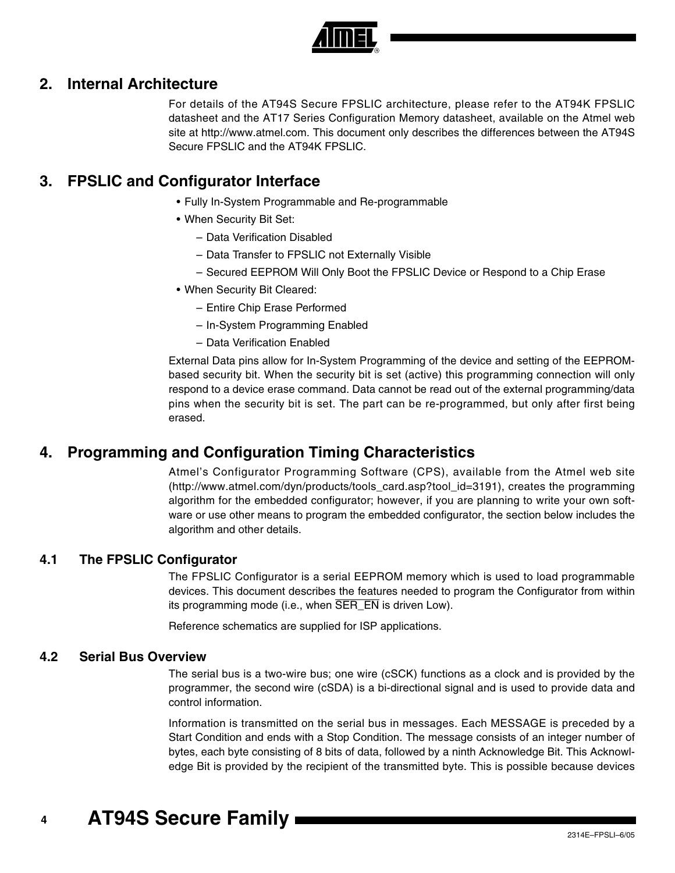

## **2. Internal Architecture**

For details of the AT94S Secure FPSLIC architecture, please refer to the AT94K FPSLIC datasheet and the AT17 Series Configuration Memory datasheet, available on the Atmel web site at http://www.atmel.com. This document only describes the differences between the AT94S Secure FPSLIC and the AT94K FPSLIC.

## **3. FPSLIC and Configurator Interface**

- Fully In-System Programmable and Re-programmable
- When Security Bit Set:
	- Data Verification Disabled
	- Data Transfer to FPSLIC not Externally Visible
	- Secured EEPROM Will Only Boot the FPSLIC Device or Respond to a Chip Erase
- When Security Bit Cleared:
	- Entire Chip Erase Performed
	- In-System Programming Enabled
	- Data Verification Enabled

External Data pins allow for In-System Programming of the device and setting of the EEPROMbased security bit. When the security bit is set (active) this programming connection will only respond to a device erase command. Data cannot be read out of the external programming/data pins when the security bit is set. The part can be re-programmed, but only after first being erased.

## **4. Programming and Configuration Timing Characteristics**

Atmel's Configurator Programming Software (CPS), available from the Atmel web site (http://www.atmel.com/dyn/products/tools\_card.asp?tool\_id=3191), creates the programming algorithm for the embedded configurator; however, if you are planning to write your own software or use other means to program the embedded configurator, the section below includes the algorithm and other details.

## **4.1 The FPSLIC Configurator**

The FPSLIC Configurator is a serial EEPROM memory which is used to load programmable devices. This document describes the features needed to program the Configurator from within its programming mode (i.e., when SER\_EN is driven Low).

Reference schematics are supplied for ISP applications.

## **4.2 Serial Bus Overview**

The serial bus is a two-wire bus; one wire (cSCK) functions as a clock and is provided by the programmer, the second wire (cSDA) is a bi-directional signal and is used to provide data and control information.

Information is transmitted on the serial bus in messages. Each MESSAGE is preceded by a Start Condition and ends with a Stop Condition. The message consists of an integer number of bytes, each byte consisting of 8 bits of data, followed by a ninth Acknowledge Bit. This Acknowledge Bit is provided by the recipient of the transmitted byte. This is possible because devices

#### **4 AT94S Secure Family**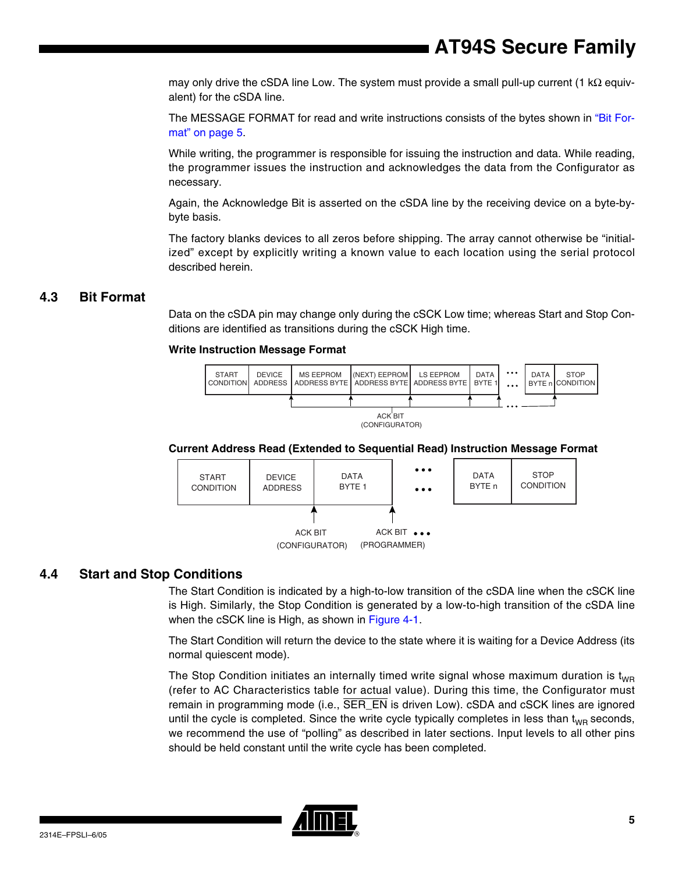may only drive the cSDA line Low. The system must provide a small pull-up current (1 k $\Omega$  equivalent) for the cSDA line.

The MESSAGE FORMAT for read and write instructions consists of the bytes shown in ["Bit For](#page-4-0)[mat" on page 5](#page-4-0).

While writing, the programmer is responsible for issuing the instruction and data. While reading, the programmer issues the instruction and acknowledges the data from the Configurator as necessary.

Again, the Acknowledge Bit is asserted on the cSDA line by the receiving device on a byte-bybyte basis.

The factory blanks devices to all zeros before shipping. The array cannot otherwise be "initialized" except by explicitly writing a known value to each location using the serial protocol described herein.

## <span id="page-4-0"></span>**4.3 Bit Format**

Data on the cSDA pin may change only during the cSCK Low time; whereas Start and Stop Conditions are identified as transitions during the cSCK High time.

### **Write Instruction Message Format**



### **Current Address Read (Extended to Sequential Read) Instruction Message Format**



## **4.4 Start and Stop Conditions**

The Start Condition is indicated by a high-to-low transition of the cSDA line when the cSCK line is High. Similarly, the Stop Condition is generated by a low-to-high transition of the cSDA line when the cSCK line is High, as shown in [Figure 4-1](#page-5-0).

The Start Condition will return the device to the state where it is waiting for a Device Address (its normal quiescent mode).

The Stop Condition initiates an internally timed write signal whose maximum duration is  $t_{WR}$ (refer to AC Characteristics table for actual value). During this time, the Configurator must remain in programming mode (i.e.,  $\overline{SER\_EN}$  is driven Low). cSDA and cSCK lines are ignored until the cycle is completed. Since the write cycle typically completes in less than  $t_{WR}$  seconds, we recommend the use of "polling" as described in later sections. Input levels to all other pins should be held constant until the write cycle has been completed.

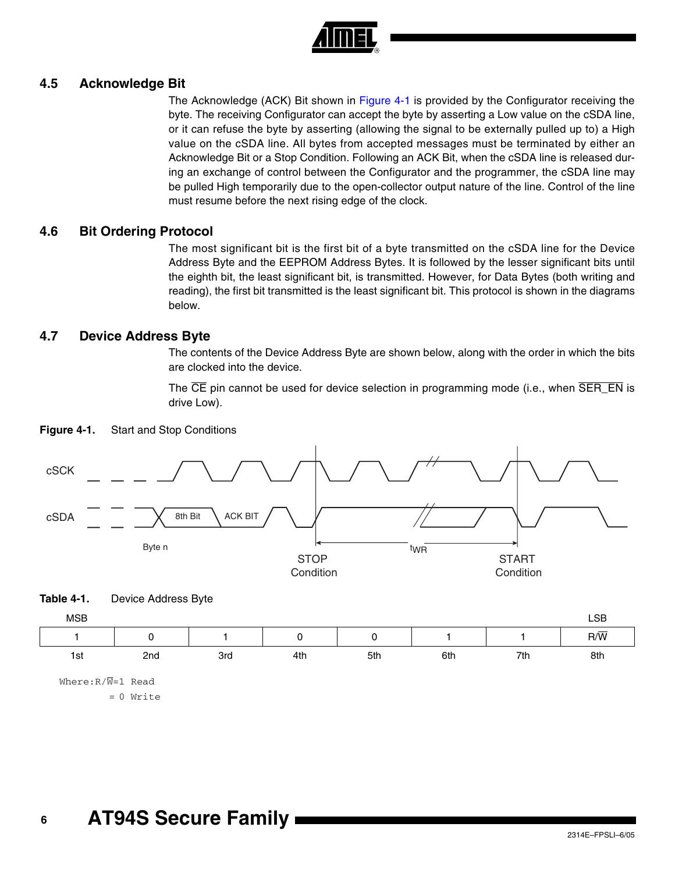

## **4.5 Acknowledge Bit**

The Acknowledge (ACK) Bit shown in [Figure 4-1](#page-5-0) is provided by the Configurator receiving the byte. The receiving Configurator can accept the byte by asserting a Low value on the cSDA line, or it can refuse the byte by asserting (allowing the signal to be externally pulled up to) a High value on the cSDA line. All bytes from accepted messages must be terminated by either an Acknowledge Bit or a Stop Condition. Following an ACK Bit, when the cSDA line is released during an exchange of control between the Configurator and the programmer, the cSDA line may be pulled High temporarily due to the open-collector output nature of the line. Control of the line must resume before the next rising edge of the clock.

## **4.6 Bit Ordering Protocol**

The most significant bit is the first bit of a byte transmitted on the cSDA line for the Device Address Byte and the EEPROM Address Bytes. It is followed by the lesser significant bits until the eighth bit, the least significant bit, is transmitted. However, for Data Bytes (both writing and reading), the first bit transmitted is the least significant bit. This protocol is shown in the diagrams below.

## **4.7 Device Address Byte**

The contents of the Device Address Byte are shown below, along with the order in which the bits are clocked into the device.

The  $\overline{CE}$  pin cannot be used for device selection in programming mode (i.e., when  $\overline{SER\_EN}$  is drive Low).



<span id="page-5-0"></span>**Figure 4-1.** Start and Stop Conditions



= 0 Write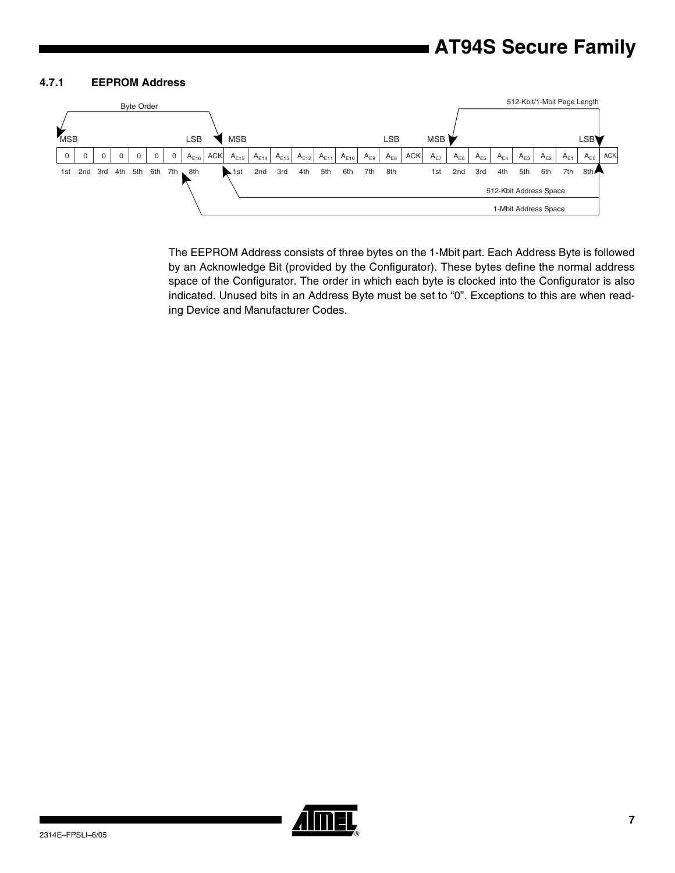### **4.7.1 EEPROM Address**



The EEPROM Address consists of three bytes on the 1-Mbit part. Each Address Byte is followed by an Acknowledge Bit (provided by the Configurator). These bytes define the normal address space of the Configurator. The order in which each byte is clocked into the Configurator is also indicated. Unused bits in an Address Byte must be set to "0". Exceptions to this are when reading Device and Manufacturer Codes.

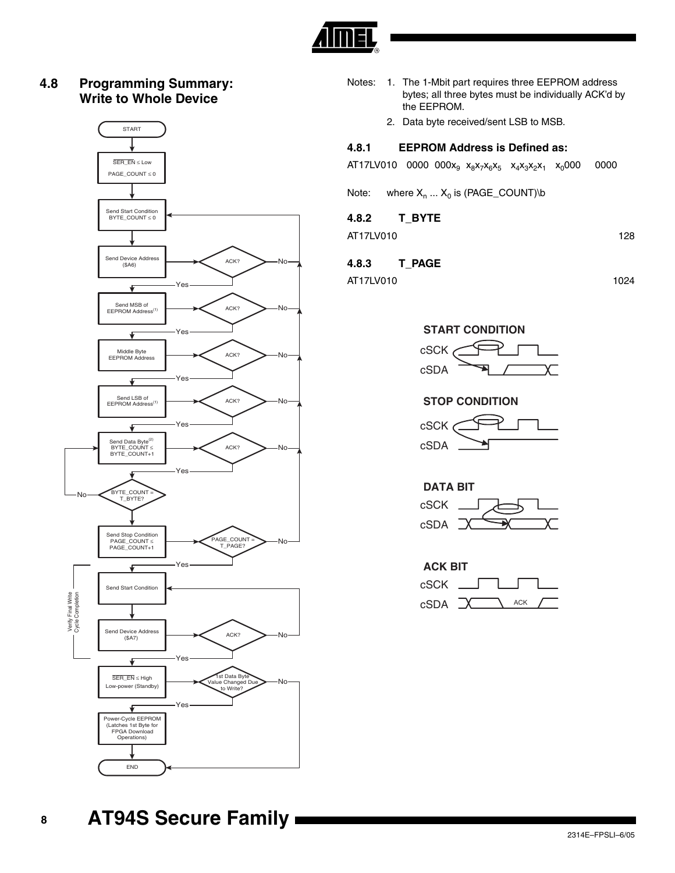

## **4.8 Programming Summary: Write to Whole Device**



- Notes: 1. The 1-Mbit part requires three EEPROM address bytes; all three bytes must be individually ACK'd by the EEPROM.
	- 2. Data byte received/sent LSB to MSB.

### **4.8.1 EEPROM Address is Defined as:**

|  | $AT17LV010$ 0000 000 $x_9$ $x_8x_7x_6x_5$ $x_4x_3x_2x_1$ $x_0$ 000 0000 |  |  |  |  |
|--|-------------------------------------------------------------------------|--|--|--|--|
|--|-------------------------------------------------------------------------|--|--|--|--|

Note: where  $X_n$  ...  $X_0$  is (PAGE\_COUNT)\b

## **4.8.2 T\_BYTE**

AT17LV010 128

## **4.8.3 T\_PAGE**

AT17LV010 1024





## **STOP CONDITION**



## **DATA BIT** cSDA cSCK

| <b>ACK BIT</b> |            |  |  |  |  |
|----------------|------------|--|--|--|--|
| cSCK           |            |  |  |  |  |
| cSDA           | <b>ACK</b> |  |  |  |  |

**AT94S Secure Family**

**8**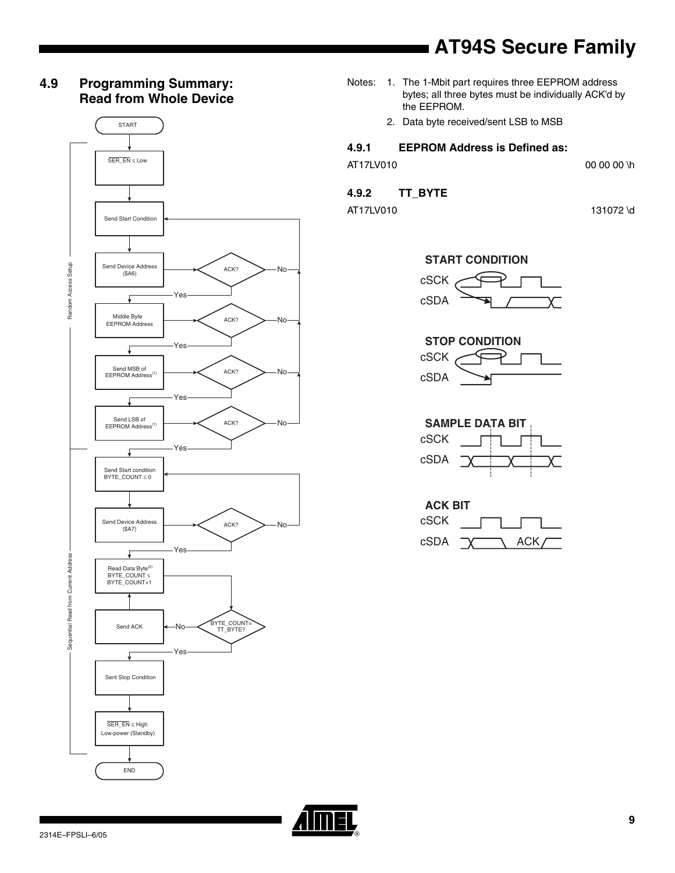## **4.9 Programming Summary: Read from Whole Device**



- Notes: 1. The 1-Mbit part requires three EEPROM address bytes; all three bytes must be individually ACK'd by the EEPROM.
	- 2. Data byte received/sent LSB to MSB

### **4.9.1 EEPROM Address is Defined as:**

AT17LV010 00 00 \h

## **4.9.2 TT\_BYTE**

AT17LV010 131072 \d

## **START CONDITION**





**SAMPLE DATA BIT** cSDA cSCK

| <b>ACK BIT</b> |  |      |  |
|----------------|--|------|--|
| cSCK           |  |      |  |
| cSDA           |  | ACK/ |  |

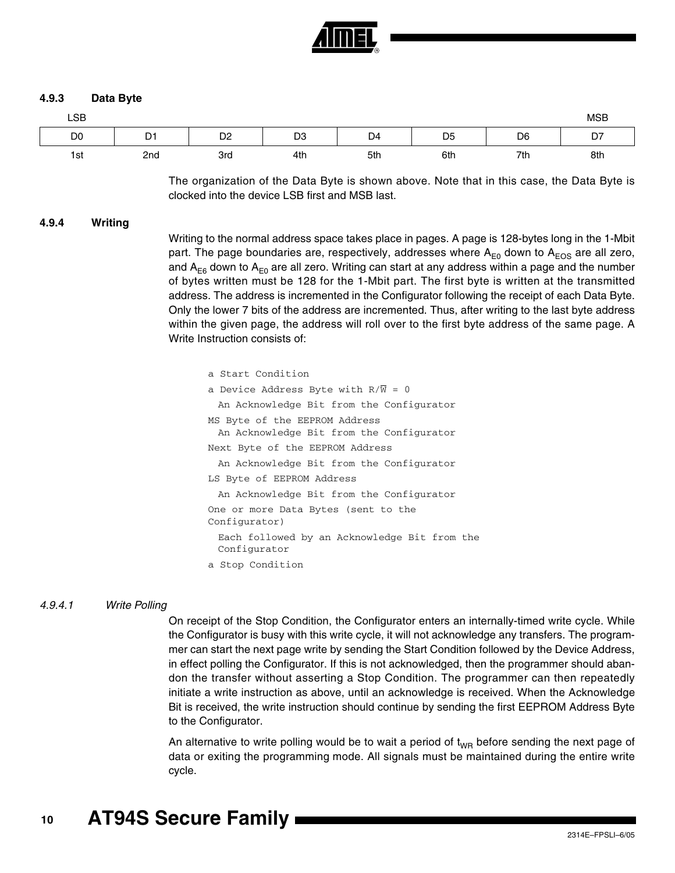

### **4.9.3 Data Byte**

| LSB            |                |                |                |                |                |                | <b>MSB</b> |
|----------------|----------------|----------------|----------------|----------------|----------------|----------------|------------|
| D <sub>0</sub> | D <sub>1</sub> | D <sub>2</sub> | D <sub>3</sub> | D <sub>4</sub> | D <sub>5</sub> | D <sub>6</sub> | D7         |
| 1st            | 2nd            | 3rd            | 4th            | 5th            | 6th            | 7th            | 8th        |

The organization of the Data Byte is shown above. Note that in this case, the Data Byte is clocked into the device LSB first and MSB last.

#### **4.9.4 Writing**

Writing to the normal address space takes place in pages. A page is 128-bytes long in the 1-Mbit part. The page boundaries are, respectively, addresses where  $A_{E0}$  down to  $A_{EOS}$  are all zero, and A<sub>E6</sub> down to A<sub>E0</sub> are all zero. Writing can start at any address within a page and the number of bytes written must be 128 for the 1-Mbit part. The first byte is written at the transmitted address. The address is incremented in the Configurator following the receipt of each Data Byte. Only the lower 7 bits of the address are incremented. Thus, after writing to the last byte address within the given page, the address will roll over to the first byte address of the same page. A Write Instruction consists of:

| a Start Condition                                                         |
|---------------------------------------------------------------------------|
| a Device Address Byte with $R/\overline{W} = 0$                           |
| An Acknowledge Bit from the Configurator                                  |
| MS Byte of the EEPROM Address<br>An Acknowledge Bit from the Configurator |
| Next Byte of the EEPROM Address                                           |
| An Acknowledge Bit from the Configurator                                  |
| LS Byte of EEPROM Address                                                 |
| An Acknowledge Bit from the Configurator                                  |
| One or more Data Bytes (sent to the<br>Configurator)                      |
| Each followed by an Acknowledge Bit from the<br>Configurator              |
| a Stop Condition                                                          |
|                                                                           |

#### *4.9.4.1 Write Polling*

On receipt of the Stop Condition, the Configurator enters an internally-timed write cycle. While the Configurator is busy with this write cycle, it will not acknowledge any transfers. The programmer can start the next page write by sending the Start Condition followed by the Device Address, in effect polling the Configurator. If this is not acknowledged, then the programmer should abandon the transfer without asserting a Stop Condition. The programmer can then repeatedly initiate a write instruction as above, until an acknowledge is received. When the Acknowledge Bit is received, the write instruction should continue by sending the first EEPROM Address Byte to the Configurator.

An alternative to write polling would be to wait a period of  $t_{WR}$  before sending the next page of data or exiting the programming mode. All signals must be maintained during the entire write cycle.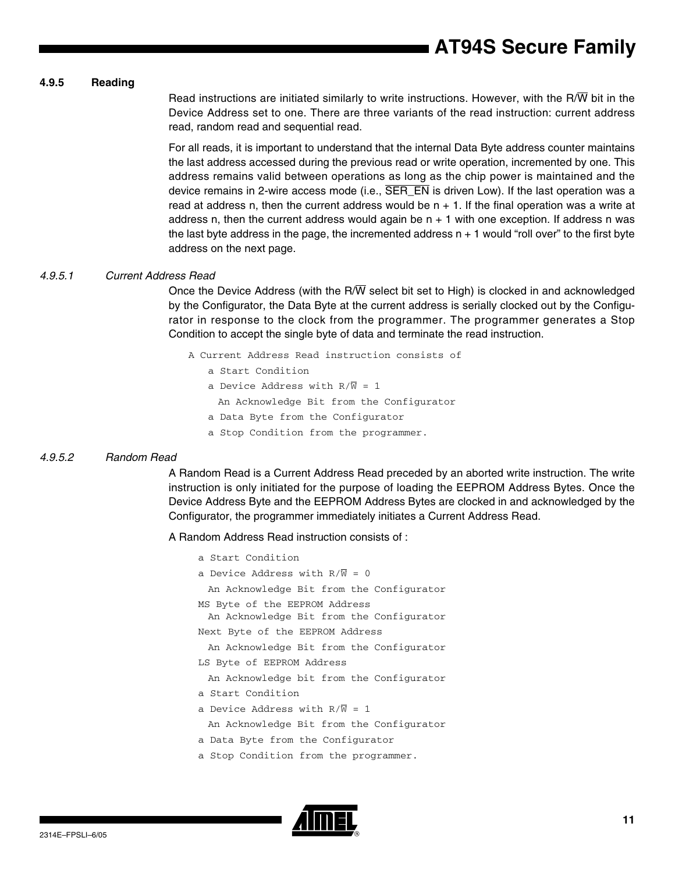### **4.9.5 Reading**

Read instructions are initiated similarly to write instructions. However, with the R/W bit in the Device Address set to one. There are three variants of the read instruction: current address read, random read and sequential read.

For all reads, it is important to understand that the internal Data Byte address counter maintains the last address accessed during the previous read or write operation, incremented by one. This address remains valid between operations as long as the chip power is maintained and the device remains in 2-wire access mode (i.e.,  $\overline{\text{SER\_EN}}$  is driven Low). If the last operation was a read at address n, then the current address would be  $n + 1$ . If the final operation was a write at address n, then the current address would again be  $n + 1$  with one exception. If address n was the last byte address in the page, the incremented address  $n + 1$  would "roll over" to the first byte address on the next page.

### *4.9.5.1 Current Address Read*

Once the Device Address (with the R/ $\overline{W}$  select bit set to High) is clocked in and acknowledged by the Configurator, the Data Byte at the current address is serially clocked out by the Configurator in response to the clock from the programmer. The programmer generates a Stop Condition to accept the single byte of data and terminate the read instruction.

A Current Address Read instruction consists of

- a Start Condition
- a Device Address with  $R/\overline{W} = 1$ 
	- An Acknowledge Bit from the Configurator
- a Data Byte from the Configurator
- a Stop Condition from the programmer.

### *4.9.5.2 Random Read*

A Random Read is a Current Address Read preceded by an aborted write instruction. The write instruction is only initiated for the purpose of loading the EEPROM Address Bytes. Once the Device Address Byte and the EEPROM Address Bytes are clocked in and acknowledged by the Configurator, the programmer immediately initiates a Current Address Read.

A Random Address Read instruction consists of :

a Start Condition a Device Address with  $R/\overline{W} = 0$ An Acknowledge Bit from the Configurator MS Byte of the EEPROM Address An Acknowledge Bit from the Configurator Next Byte of the EEPROM Address An Acknowledge Bit from the Configurator LS Byte of EEPROM Address An Acknowledge bit from the Configurator a Start Condition a Device Address with  $R/\overline{W} = 1$ An Acknowledge Bit from the Configurator a Data Byte from the Configurator a Stop Condition from the programmer.

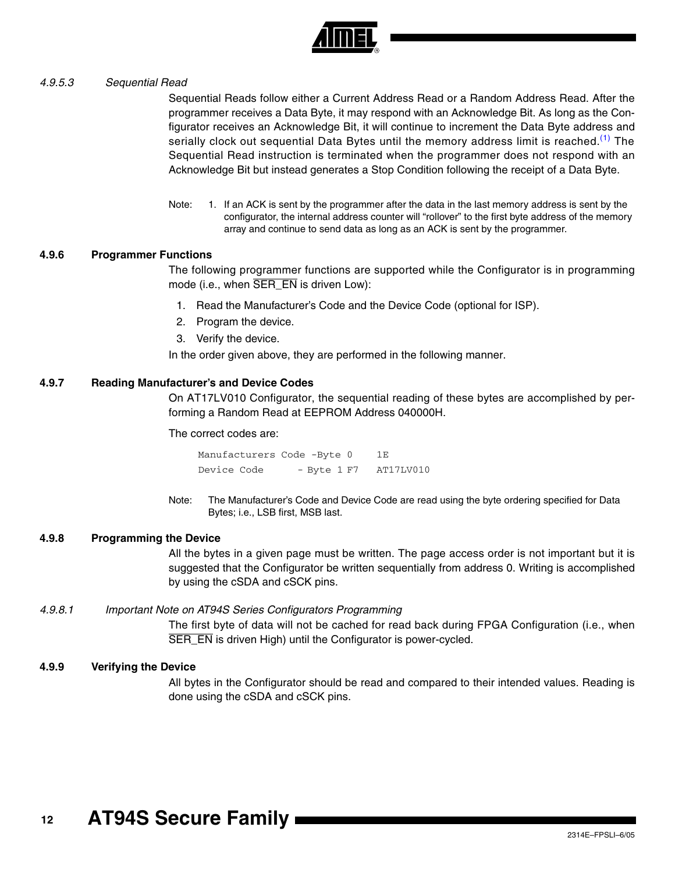

### *4.9.5.3 Sequential Read*

Sequential Reads follow either a Current Address Read or a Random Address Read. After the programmer receives a Data Byte, it may respond with an Acknowledge Bit. As long as the Configurator receives an Acknowledge Bit, it will continue to increment the Data Byte address and serially clock out sequential Data Bytes until the memory address limit is reached.<sup>[\(1\)](#page-11-0)</sup> The Sequential Read instruction is terminated when the programmer does not respond with an Acknowledge Bit but instead generates a Stop Condition following the receipt of a Data Byte.

<span id="page-11-0"></span>Note: 1. If an ACK is sent by the programmer after the data in the last memory address is sent by the configurator, the internal address counter will "rollover" to the first byte address of the memory array and continue to send data as long as an ACK is sent by the programmer.

### **4.9.6 Programmer Functions**

The following programmer functions are supported while the Configurator is in programming mode (i.e., when SER\_EN is driven Low):

- 1. Read the Manufacturer's Code and the Device Code (optional for ISP).
- 2. Program the device.
- 3. Verify the device.

In the order given above, they are performed in the following manner.

#### **4.9.7 Reading Manufacturer's and Device Codes**

On AT17LV010 Configurator, the sequential reading of these bytes are accomplished by performing a Random Read at EEPROM Address 040000H.

The correct codes are:

Manufacturers Code -Byte 0 1E Device Code - Byte 1 F7 AT17LV010

Note: The Manufacturer's Code and Device Code are read using the byte ordering specified for Data Bytes; i.e., LSB first, MSB last.

#### **4.9.8 Programming the Device**

All the bytes in a given page must be written. The page access order is not important but it is suggested that the Configurator be written sequentially from address 0. Writing is accomplished by using the cSDA and cSCK pins.

### *4.9.8.1 Important Note on AT94S Series Configurators Programming*

The first byte of data will not be cached for read back during FPGA Configuration (i.e., when SER\_EN is driven High) until the Configurator is power-cycled.

### **4.9.9 Verifying the Device**

All bytes in the Configurator should be read and compared to their intended values. Reading is done using the cSDA and cSCK pins.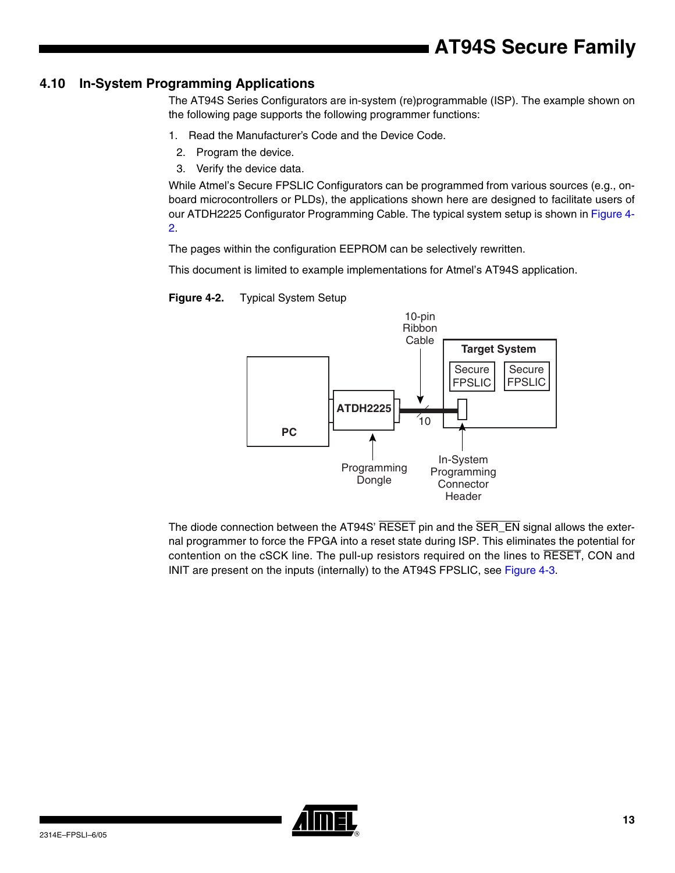## **4.10 In-System Programming Applications**

The AT94S Series Configurators are in-system (re)programmable (ISP). The example shown on the following page supports the following programmer functions:

- 1. Read the Manufacturer's Code and the Device Code.
- 2. Program the device.
- 3. Verify the device data.

While Atmel's Secure FPSLIC Configurators can be programmed from various sources (e.g., onboard microcontrollers or PLDs), the applications shown here are designed to facilitate users of our ATDH2225 Configurator Programming Cable. The typical system setup is shown in [Figure 4-](#page-12-0) [2.](#page-12-0)

The pages within the configuration EEPROM can be selectively rewritten.

This document is limited to example implementations for Atmel's AT94S application.



### <span id="page-12-0"></span>**Figure 4-2.** Typical System Setup

The diode connection between the AT94S' RESET pin and the SER\_EN signal allows the external programmer to force the FPGA into a reset state during ISP. This eliminates the potential for contention on the cSCK line. The pull-up resistors required on the lines to RESET, CON and INIT are present on the inputs (internally) to the AT94S FPSLIC, see [Figure 4-3.](#page-13-0)

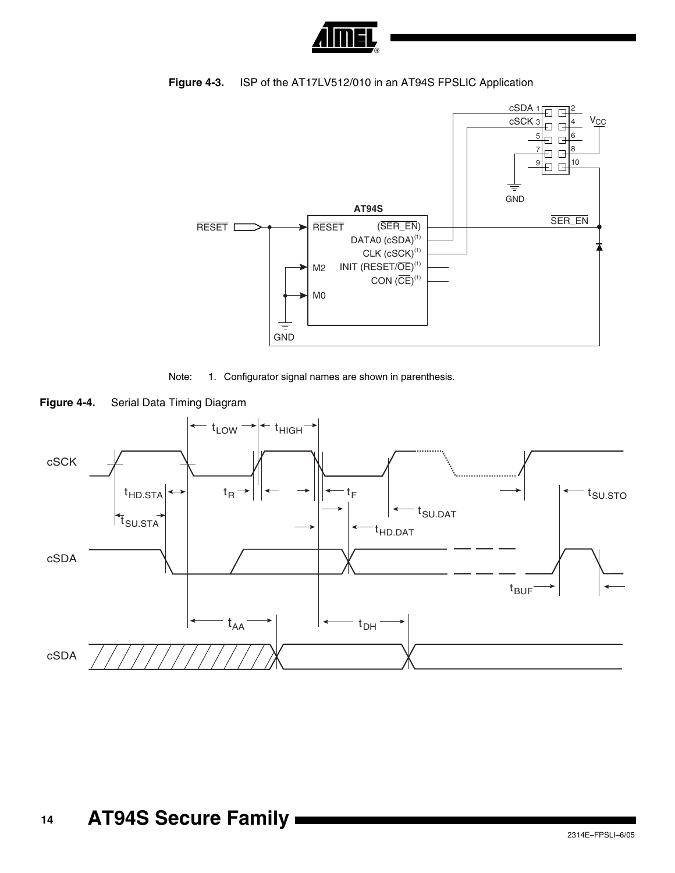

## <span id="page-13-0"></span>**Figure 4-3.** ISP of the AT17LV512/010 in an AT94S FPSLIC Application







**Figure 4-4.** Serial Data Timing Diagram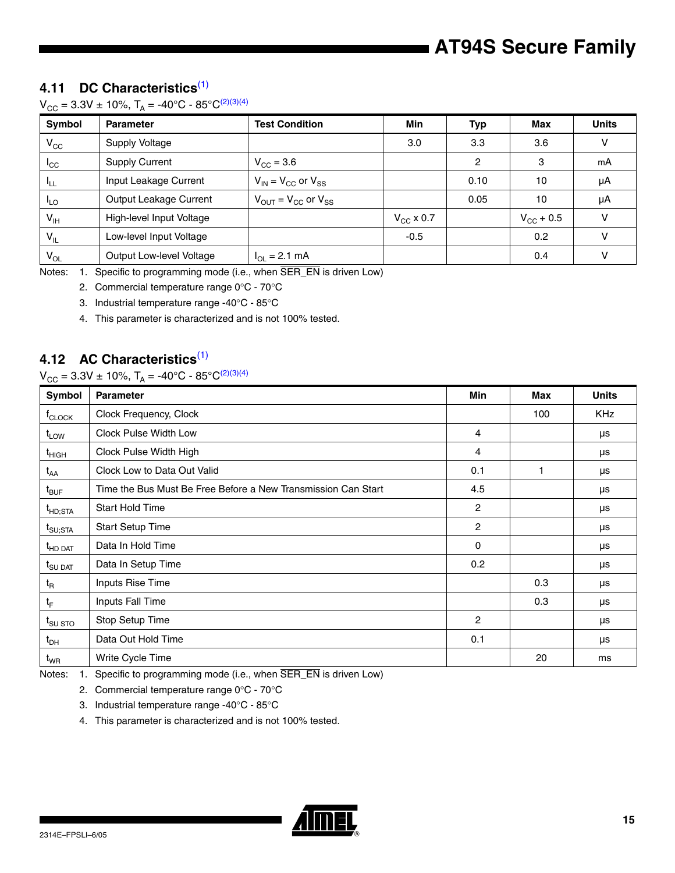## **4.11 DC Characteristics**[\(1\)](#page-14-0)

 $V_{CC} = 3.3V \pm 10\%, T_A = -40\degree C - 85\degree C^{(2)(3)(4)}$  $V_{CC} = 3.3V \pm 10\%, T_A = -40\degree C - 85\degree C^{(2)(3)(4)}$  $V_{CC} = 3.3V \pm 10\%, T_A = -40\degree C - 85\degree C^{(2)(3)(4)}$  $V_{CC} = 3.3V \pm 10\%, T_A = -40\degree C - 85\degree C^{(2)(3)(4)}$  $V_{CC} = 3.3V \pm 10\%, T_A = -40\degree C - 85\degree C^{(2)(3)(4)}$ 

| Symbol          | <b>Parameter</b>         | <b>Test Condition</b>                               | Min            | <b>Typ</b> | Max                | <b>Units</b> |
|-----------------|--------------------------|-----------------------------------------------------|----------------|------------|--------------------|--------------|
| $V_{CC}$        | Supply Voltage           |                                                     | 3.0            | 3.3        | 3.6                | v            |
| ICC             | <b>Supply Current</b>    | $V_{CC} = 3.6$                                      |                | 2          | 3                  | mA           |
| பா              | Input Leakage Current    | $V_{IN}$ = $V_{CC}$ or $V_{SS}$                     |                | 0.10       | 10                 | μA           |
| $L_{\text{LO}}$ | Output Leakage Current   | $V_{\text{OUT}} = V_{\text{CC}}$ or $V_{\text{SS}}$ |                | 0.05       | 10                 | μA           |
| $V_{\text{IH}}$ | High-level Input Voltage |                                                     | $V_{CC}$ x 0.7 |            | $V_{\rm CC}$ + 0.5 | v            |
| $V_{IL}$        | Low-level Input Voltage  |                                                     | $-0.5$         |            | 0.2                | v            |
| $V_{OL}$        | Output Low-level Voltage | $I_{OL} = 2.1$ mA                                   |                |            | 0.4                | v            |

<span id="page-14-2"></span><span id="page-14-1"></span><span id="page-14-0"></span>Notes: 1. Specific to programming mode (i.e., when SER\_EN is driven Low)

2. Commercial temperature range 0°C - 70°C

3. Industrial temperature range -40°C - 85°C

<span id="page-14-3"></span>4. This parameter is characterized and is not 100% tested.

## **4.12 AC Characteristics**[\(1\)](#page-14-4)

## $V_{CC} = 3.3V \pm 10\%, T_A = -40^{\circ}C - 85^{\circ}C^{(2)(3)(4)}$  $V_{CC} = 3.3V \pm 10\%, T_A = -40^{\circ}C - 85^{\circ}C^{(2)(3)(4)}$  $V_{CC} = 3.3V \pm 10\%, T_A = -40^{\circ}C - 85^{\circ}C^{(2)(3)(4)}$  $V_{CC} = 3.3V \pm 10\%, T_A = -40^{\circ}C - 85^{\circ}C^{(2)(3)(4)}$  $V_{CC} = 3.3V \pm 10\%, T_A = -40^{\circ}C - 85^{\circ}C^{(2)(3)(4)}$

| <b>Symbol</b>               | <b>Parameter</b>                                              | Min            | Max | <b>Units</b> |
|-----------------------------|---------------------------------------------------------------|----------------|-----|--------------|
| $t_{\text{CLOCK}}$          | Clock Frequency, Clock                                        |                | 100 | <b>KHz</b>   |
| $t_{LOW}$                   | Clock Pulse Width Low                                         | $\overline{4}$ |     | μs           |
| $t_{HIGH}$                  | Clock Pulse Width High                                        | $\overline{4}$ |     | μs           |
| $t_{AA}$                    | Clock Low to Data Out Valid                                   | 0.1            | 1   | μs           |
| $t_{\text{BUF}}$            | Time the Bus Must Be Free Before a New Transmission Can Start | 4.5            |     | μs           |
| $t_{HD;STA}$                | Start Hold Time                                               | 2              |     | μs           |
| $t_{\text{SU;STA}}$         | <b>Start Setup Time</b>                                       | 2              |     | μs           |
| <sup>t</sup> HD DAT         | Data In Hold Time                                             | $\Omega$       |     | μs           |
| $t_{\text{SU } \text{DAT}}$ | Data In Setup Time                                            | 0.2            |     | μs           |
| $t_{\mathsf{R}}$            | Inputs Rise Time                                              |                | 0.3 | μs           |
| $t_F$                       | Inputs Fall Time                                              |                | 0.3 | μs           |
| t <sub>SU STO</sub>         | Stop Setup Time                                               | $\overline{2}$ |     | μs           |
| $t_{DH}$                    | Data Out Hold Time                                            | 0.1            |     | μs           |
| $t_{WR}$                    | Write Cycle Time                                              |                | 20  | ms           |

<span id="page-14-6"></span><span id="page-14-5"></span><span id="page-14-4"></span>Notes: 1. Specific to programming mode (i.e., when SER\_EN is driven Low)

2. Commercial temperature range 0°C - 70°C

3. Industrial temperature range -40°C - 85°C

<span id="page-14-7"></span>4. This parameter is characterized and is not 100% tested.

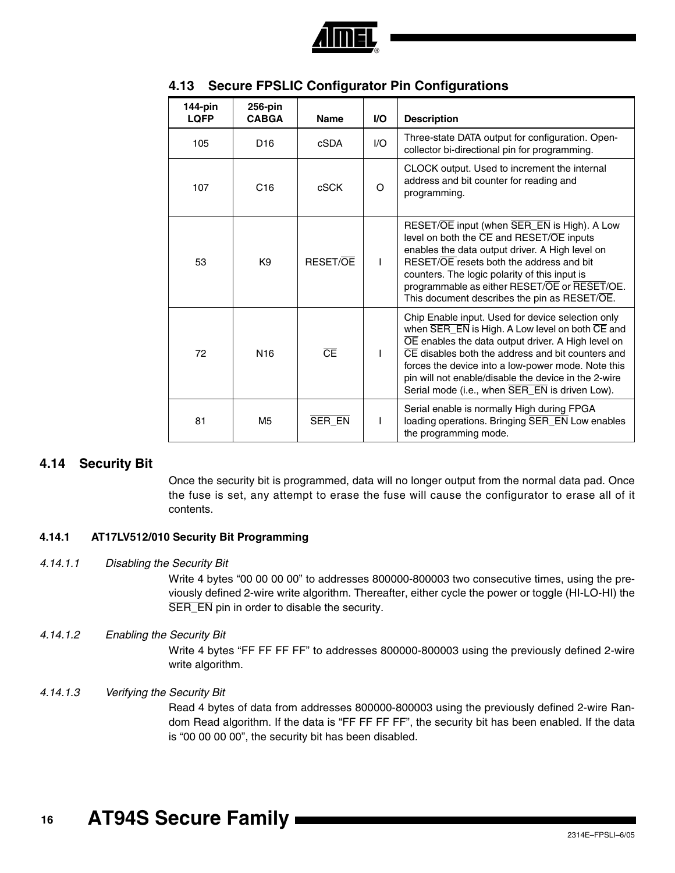

| 144-pin<br><b>LQFP</b> | 256-pin<br><b>CABGA</b> | <b>Name</b>            | <b>VO</b> | <b>Description</b>                                                                                                                                                                                                                                                                                                                                                              |
|------------------------|-------------------------|------------------------|-----------|---------------------------------------------------------------------------------------------------------------------------------------------------------------------------------------------------------------------------------------------------------------------------------------------------------------------------------------------------------------------------------|
| 105                    | D <sub>16</sub>         | cSDA                   | 1/O       | Three-state DATA output for configuration. Open-<br>collector bi-directional pin for programming.                                                                                                                                                                                                                                                                               |
| 107                    | C <sub>16</sub>         | cSCK                   | $\Omega$  | CLOCK output. Used to increment the internal<br>address and bit counter for reading and<br>programming.                                                                                                                                                                                                                                                                         |
| 53                     | K <sub>9</sub>          | <b>RESET/OF</b>        | L         | RESET/OE input (when SER_EN is High). A Low<br>level on both the CE and RESET/OE inputs<br>enables the data output driver. A High level on<br>RESET/OE resets both the address and bit<br>counters. The logic polarity of this input is<br>programmable as either RESET/OE or RESET/OE.<br>This document describes the pin as RESET/OE.                                         |
| 72                     | N <sub>16</sub>         | $\overline{\text{CE}}$ |           | Chip Enable input. Used for device selection only<br>when SER_EN is High. A Low level on both CE and<br>OE enables the data output driver. A High level on<br>CE disables both the address and bit counters and<br>forces the device into a low-power mode. Note this<br>pin will not enable/disable the device in the 2-wire<br>Serial mode (i.e., when SER_EN is driven Low). |
| 81                     | M5                      | <b>SER EN</b>          |           | Serial enable is normally High during FPGA<br>loading operations. Bringing SER_EN Low enables<br>the programming mode.                                                                                                                                                                                                                                                          |

## . **4.13 Secure FPSLIC Configurator Pin Configurations**

## **4.14 Security Bit**

Once the security bit is programmed, data will no longer output from the normal data pad. Once the fuse is set, any attempt to erase the fuse will cause the configurator to erase all of it contents.

## **4.14.1 AT17LV512/010 Security Bit Programming**

### *4.14.1.1 Disabling the Security Bit*

Write 4 bytes "00 00 00 00" to addresses 800000-800003 two consecutive times, using the previously defined 2-wire write algorithm. Thereafter, either cycle the power or toggle (HI-LO-HI) the SER\_EN pin in order to disable the security.

## *4.14.1.2 Enabling the Security Bit*

Write 4 bytes "FF FF FF FF" to addresses 800000-800003 using the previously defined 2-wire write algorithm.

### *4.14.1.3 Verifying the Security Bit*

Read 4 bytes of data from addresses 800000-800003 using the previously defined 2-wire Random Read algorithm. If the data is "FF FF FF FF", the security bit has been enabled. If the data is "00 00 00 00", the security bit has been disabled.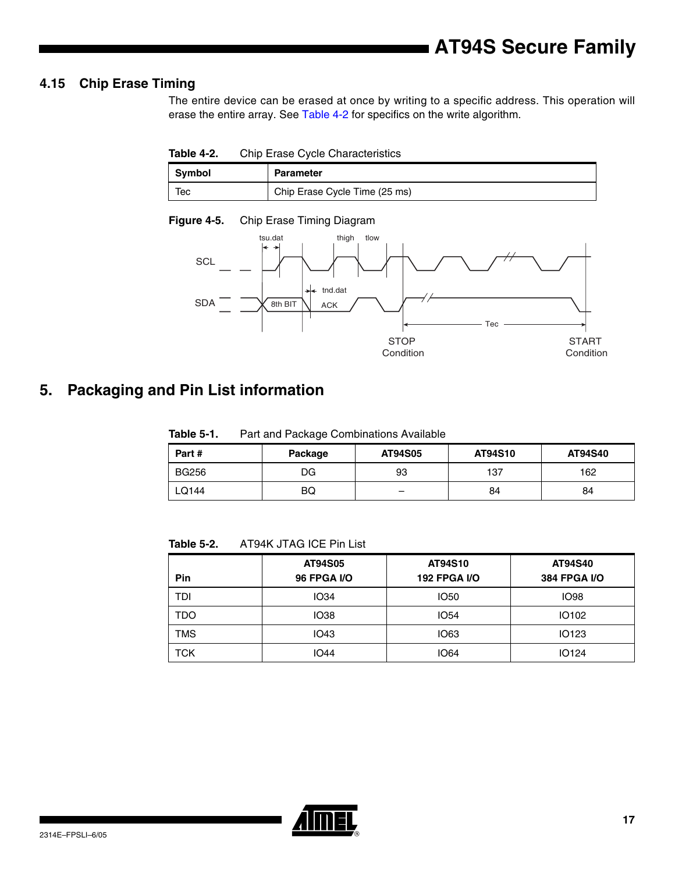## **4.15 Chip Erase Timing**

The entire device can be erased at once by writing to a specific address. This operation will erase the entire array. See [Table 4-2](#page-16-0) for specifics on the write algorithm.

<span id="page-16-0"></span>**Table 4-2.** Chip Erase Cycle Characteristics

| Symbol | <b>Parameter</b>              |
|--------|-------------------------------|
| Тес    | Chip Erase Cycle Time (25 ms) |



## **5. Packaging and Pin List information**

**Table 5-1.** Part and Package Combinations Available

| Part#        | Package | AT94S05                  | AT94S10 | AT94S40 |
|--------------|---------|--------------------------|---------|---------|
| <b>BG256</b> | DG      | 93                       | 137     | 162     |
| ∟Q144        | BQ      | $\overline{\phantom{0}}$ | 84      | 84      |

**Table 5-2.** AT94K JTAG ICE Pin List

| Pin | AT94S05<br><b>96 FPGA I/O</b> | AT94S10<br><b>192 FPGA I/O</b> | AT94S40<br><b>384 FPGA I/O</b> |
|-----|-------------------------------|--------------------------------|--------------------------------|
| TDI | <b>IO34</b>                   | <b>IO50</b>                    | <b>IO98</b>                    |
| TDO | <b>IO38</b>                   | <b>IO54</b>                    | <b>IO102</b>                   |
| TMS | IO43                          | <b>IO63</b>                    | <b>IO123</b>                   |
| TCK | <b>IO44</b>                   | <b>IO64</b>                    | <b>IO124</b>                   |

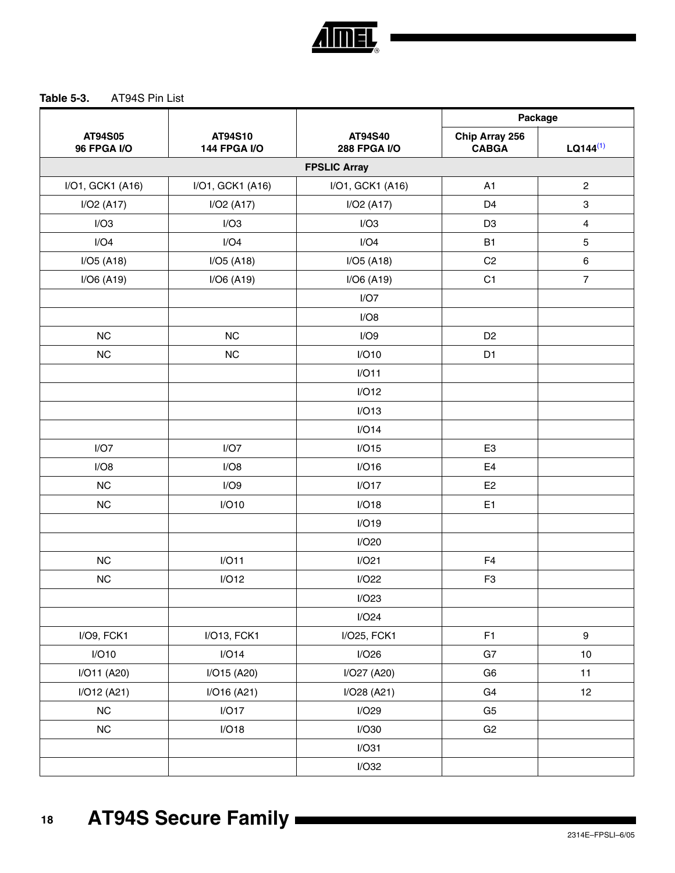

## **Table 5-3.** AT94S Pin List

|                               |                                | AT94S40<br><b>288 FPGA I/O</b> | Package                        |                         |
|-------------------------------|--------------------------------|--------------------------------|--------------------------------|-------------------------|
| AT94S05<br><b>96 FPGA I/O</b> | AT94S10<br><b>144 FPGA I/O</b> |                                | Chip Array 256<br><b>CABGA</b> | $LQ144^{(1)}$           |
|                               |                                | <b>FPSLIC Array</b>            |                                |                         |
| I/O1, GCK1 (A16)              | I/O1, GCK1 (A16)               | I/O1, GCK1 (A16)               | A <sub>1</sub>                 | $\sqrt{2}$              |
| I/O2 (A17)                    | I/O2 (A17)                     | I/O2 (A17)                     | D <sub>4</sub>                 | $\mathsf 3$             |
| I/O3                          | I/O3                           | I/O3                           | D <sub>3</sub>                 | $\overline{\mathbf{4}}$ |
| I/O4                          | I/O4                           | I/O4                           | <b>B1</b>                      | $\sqrt{5}$              |
| I/O5 (A18)                    | $I/O5$ (A18)                   | $I/O5$ (A18)                   | C <sub>2</sub>                 | $\,6\,$                 |
| $I/O6$ (A19)                  | $I/O6$ (A19)                   | $I/O6$ (A19)                   | C <sub>1</sub>                 | $\overline{7}$          |
|                               |                                | I/O7                           |                                |                         |
|                               |                                | I/O8                           |                                |                         |
| NC                            | NC                             | I/O9                           | D <sub>2</sub>                 |                         |
| NC                            | <b>NC</b>                      | I/O10                          | D <sub>1</sub>                 |                         |
|                               |                                | I/O11                          |                                |                         |
|                               |                                | I/O12                          |                                |                         |
|                               |                                | I/O13                          |                                |                         |
|                               |                                | I/O14                          |                                |                         |
| I/O7                          | I/O7                           | I/O15                          | E <sub>3</sub>                 |                         |
| I/O8                          | I/O8                           | I/O16                          | E4                             |                         |
| <b>NC</b>                     | I/O9                           | I/O17                          | E <sub>2</sub>                 |                         |
| NC                            | I/O10                          | I/O18                          | E <sub>1</sub>                 |                         |
|                               |                                | I/O19                          |                                |                         |
|                               |                                | I/O20                          |                                |                         |
| <b>NC</b>                     | I/O11                          | I/O21                          | F4                             |                         |
| NC                            | I/O12                          | I/O22                          | F <sub>3</sub>                 |                         |
|                               |                                | I/O23                          |                                |                         |
|                               |                                | I/O24                          |                                |                         |
| I/O9, FCK1                    | I/O13, FCK1                    | I/O25, FCK1                    | F1                             | $\boldsymbol{9}$        |
| I/O10                         | I/O14                          | I/O26                          | G7                             | 10                      |
| I/O11 (A20)                   | I/O15 (A20)                    | I/O27 (A20)                    | G <sub>6</sub>                 | 11                      |
| I/O12 (A21)                   | I/O16 (A21)                    | I/O28 (A21)                    | G4                             | 12                      |
| ${\sf NC}$                    | I/O17                          | I/O29                          | G <sub>5</sub>                 |                         |
| ${\sf NC}$                    | I/O18                          | I/O30                          | G <sub>2</sub>                 |                         |
|                               |                                | I/O31                          |                                |                         |
|                               |                                | I/O32                          |                                |                         |
|                               |                                |                                |                                |                         |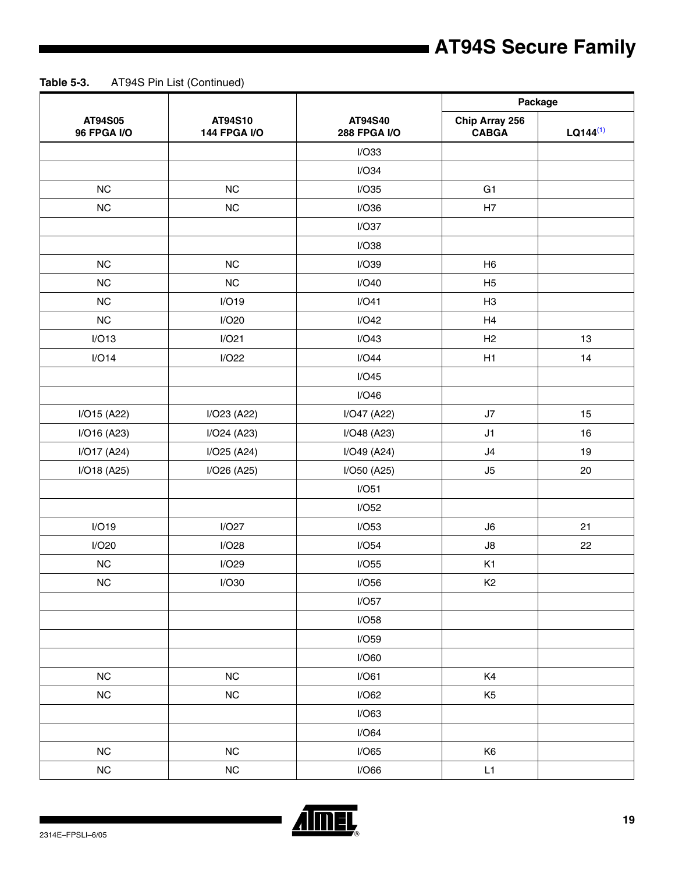|                               |                                | AT94S40<br><b>288 FPGA I/O</b> |                                |               | Package |  |
|-------------------------------|--------------------------------|--------------------------------|--------------------------------|---------------|---------|--|
| AT94S05<br><b>96 FPGA I/O</b> | AT94S10<br><b>144 FPGA I/O</b> |                                | Chip Array 256<br><b>CABGA</b> | $LQ144^{(1)}$ |         |  |
|                               |                                | I/O33                          |                                |               |         |  |
|                               |                                | I/O34                          |                                |               |         |  |
| NC                            | NC                             | I/O35                          | G <sub>1</sub>                 |               |         |  |
| NC                            | NC                             | I/O36                          | H7                             |               |         |  |
|                               |                                | I/O37                          |                                |               |         |  |
|                               |                                | I/O38                          |                                |               |         |  |
| NC                            | NC                             | I/O39                          | H <sub>6</sub>                 |               |         |  |
| NC                            | NC                             | I/O40                          | H <sub>5</sub>                 |               |         |  |
| NC                            | I/O19                          | I/O41                          | H3                             |               |         |  |
| NC                            | I/O20                          | I/O42                          | H4                             |               |         |  |
| I/O13                         | I/O21                          | I/O43                          | H <sub>2</sub>                 | 13            |         |  |
| I/O14                         | I/O22                          | I/O44                          | H1                             | 14            |         |  |
|                               |                                | I/O45                          |                                |               |         |  |
|                               |                                | I/O46                          |                                |               |         |  |
| I/O15 (A22)                   | I/O23 (A22)                    | I/O47 (A22)                    | J7                             | 15            |         |  |
| I/O16 (A23)                   | I/O24 (A23)                    | I/O48 (A23)                    | J1                             | 16            |         |  |
| I/O17 (A24)                   | I/O25 (A24)                    | I/O49 (A24)                    | J4                             | 19            |         |  |
| I/O18 (A25)                   | I/O26 (A25)                    | I/O50 (A25)                    | J5                             | 20            |         |  |
|                               |                                | I/O51                          |                                |               |         |  |
|                               |                                | I/O52                          |                                |               |         |  |
| I/O19                         | I/O27                          | I/O53                          | J6                             | 21            |         |  |
| I/O20                         | I/O28                          | I/O54                          | J8                             | 22            |         |  |
| NC                            | I/O29                          | I/O55                          | K1                             |               |         |  |
| NC                            | I/O30                          | I/O56                          | K <sub>2</sub>                 |               |         |  |
|                               |                                | I/O57                          |                                |               |         |  |
|                               |                                | I/O58                          |                                |               |         |  |
|                               |                                | I/O59                          |                                |               |         |  |
|                               |                                | I/O60                          |                                |               |         |  |
| NC                            | NC                             | I/O61                          | K4                             |               |         |  |
| $NC$                          | ${\sf NC}$                     | I/O62                          | K <sub>5</sub>                 |               |         |  |
|                               |                                | I/O63                          |                                |               |         |  |
|                               |                                | I/O64                          |                                |               |         |  |
| NC                            | NC                             | I/O65                          | K <sub>6</sub>                 |               |         |  |
| $NC$                          | ${\sf NC}$                     | I/O66                          | L1                             |               |         |  |

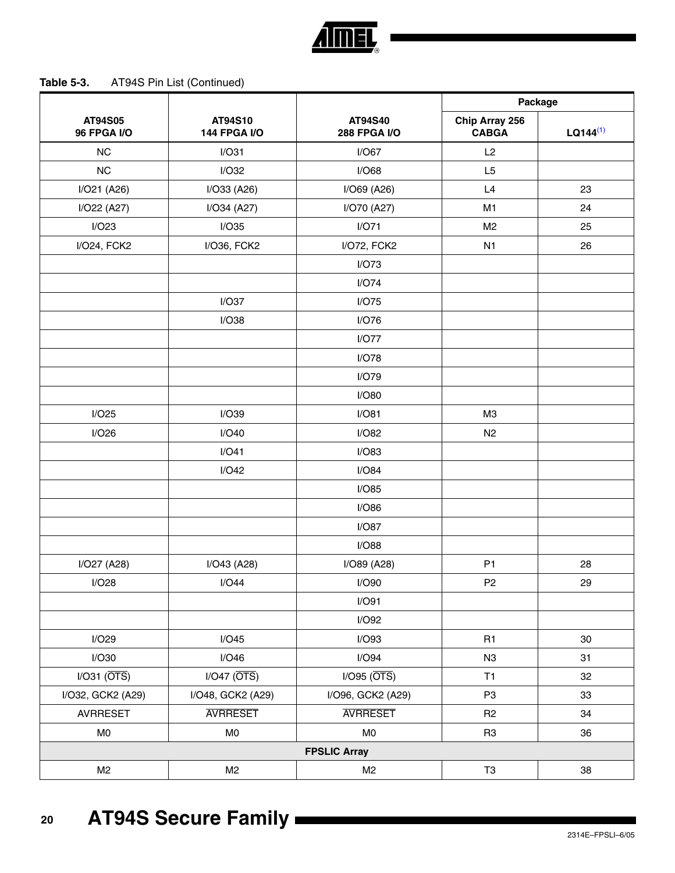|                               |                                |                                | Package                        |               |
|-------------------------------|--------------------------------|--------------------------------|--------------------------------|---------------|
| AT94S05<br><b>96 FPGA I/O</b> | AT94S10<br><b>144 FPGA I/O</b> | AT94S40<br><b>288 FPGA I/O</b> | Chip Array 256<br><b>CABGA</b> | $LQ144^{(1)}$ |
| <b>NC</b>                     | I/O31                          | I/O67                          | L2                             |               |
| NC                            | I/O32                          | I/O68                          | L5                             |               |
| I/O21 (A26)                   | I/O33 (A26)                    | I/O69 (A26)                    | L4                             | 23            |
| I/O22 (A27)                   | I/O34 (A27)                    | I/O70 (A27)                    | M1                             | 24            |
| I/O23                         | I/O35                          | I/O71                          | M <sub>2</sub>                 | 25            |
| I/O24, FCK2                   | I/O36, FCK2                    | I/O72, FCK2                    | N <sub>1</sub>                 | 26            |
|                               |                                | I/O73                          |                                |               |
|                               |                                | I/O74                          |                                |               |
|                               | I/O37                          | I/O75                          |                                |               |
|                               | I/O38                          | I/O76                          |                                |               |
|                               |                                | I/O77                          |                                |               |
|                               |                                | I/O78                          |                                |               |
|                               |                                | I/O79                          |                                |               |
|                               |                                | I/O80                          |                                |               |
| I/O25                         | I/O39                          | I/O81                          | M <sub>3</sub>                 |               |
| I/O26                         | I/O40                          | I/O82                          | N <sub>2</sub>                 |               |
|                               | I/O41                          | I/O83                          |                                |               |
|                               | I/O42                          | I/O84                          |                                |               |
|                               |                                | I/O85                          |                                |               |
|                               |                                | I/O86                          |                                |               |
|                               |                                | I/O87                          |                                |               |
|                               |                                | I/O88                          |                                |               |
| I/O27 (A28)                   | I/O43 (A28)                    | I/O89 (A28)                    | P <sub>1</sub>                 | 28            |
| I/O28                         | I/O44                          | I/O90                          | P <sub>2</sub>                 | 29            |
|                               |                                | I/O91                          |                                |               |
|                               |                                | I/O92                          |                                |               |
| I/O29                         | I/O45                          | I/O93                          | R1                             | 30            |
| I/O30                         | I/O46                          | I/O94                          | N3                             | 31            |
| $I/O31$ ( $\overline{OTS}$ )  | $I/O47$ ( $\overline{OTS}$ )   | $I/O95$ ( $\overline{OTS}$ )   | T1                             | 32            |
| I/O32, GCK2 (A29)             | I/O48, GCK2 (A29)              | I/O96, GCK2 (A29)              | P <sub>3</sub>                 | 33            |
| <b>AVRRESET</b>               | <b>AVRRESET</b>                | <b>AVRRESET</b>                | R <sub>2</sub>                 | 34            |
| M <sub>0</sub>                | MO                             | M <sub>0</sub>                 | R <sub>3</sub>                 | 36            |
|                               |                                | <b>FPSLIC Array</b>            |                                |               |
| M <sub>2</sub>                | M <sub>2</sub>                 | M <sub>2</sub>                 | $\mathsf{T}3$                  |               |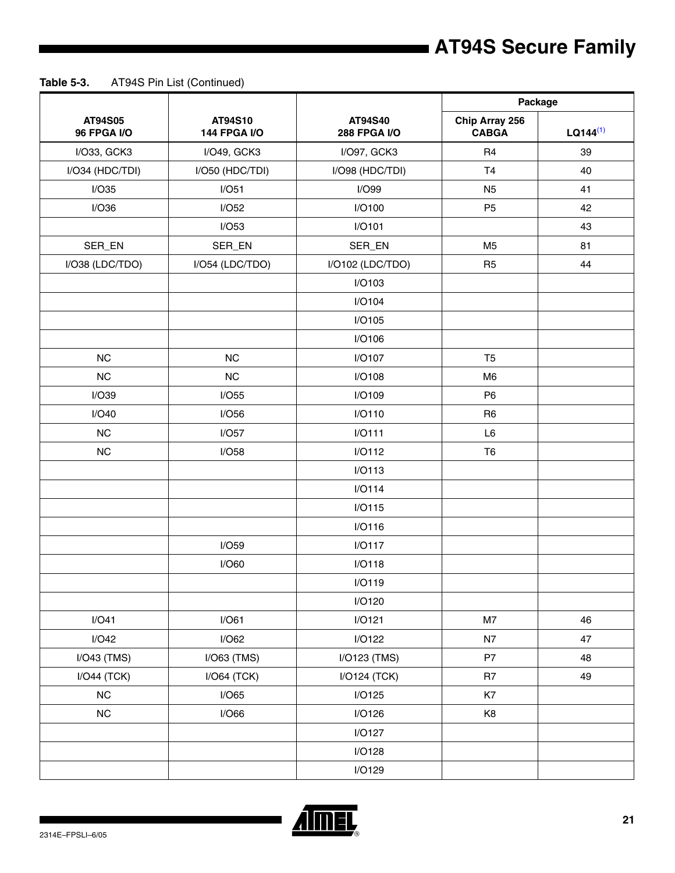|                               |                                | Package                        |                                |               |
|-------------------------------|--------------------------------|--------------------------------|--------------------------------|---------------|
| AT94S05<br><b>96 FPGA I/O</b> | AT94S10<br><b>144 FPGA I/O</b> | AT94S40<br><b>288 FPGA I/O</b> | Chip Array 256<br><b>CABGA</b> | $LQ144^{(1)}$ |
| I/O33, GCK3                   | I/O49, GCK3                    | I/O97, GCK3                    | R <sub>4</sub>                 | 39            |
| I/O34 (HDC/TDI)               | I/O50 (HDC/TDI)                | I/O98 (HDC/TDI)                | T <sub>4</sub>                 | 40            |
| I/O35                         | I/O51                          | I/O99                          | N <sub>5</sub>                 | 41            |
| I/O36                         | I/O52                          | I/O100                         | P <sub>5</sub>                 | 42            |
|                               | I/O53                          | I/O101                         |                                | 43            |
| SER_EN                        | SER_EN                         | SER_EN                         | M <sub>5</sub>                 | 81            |
| I/O38 (LDC/TDO)               | I/O54 (LDC/TDO)                | I/O102 (LDC/TDO)               | R <sub>5</sub>                 | 44            |
|                               |                                | I/O103                         |                                |               |
|                               |                                | I/O104                         |                                |               |
|                               |                                | I/O105                         |                                |               |
|                               |                                | I/O106                         |                                |               |
| <b>NC</b>                     | NC                             | <b>I/O107</b>                  | T <sub>5</sub>                 |               |
| <b>NC</b>                     | NC                             | I/O108                         | M <sub>6</sub>                 |               |
| I/O39                         | I/O55                          | I/O109                         | P <sub>6</sub>                 |               |
| I/O40                         | I/O56                          | I/O110                         | R <sub>6</sub>                 |               |
| NC                            | I/O57                          | I/O111                         | L <sub>6</sub>                 |               |
| $NC$                          | I/O58                          | I/O112                         | T <sub>6</sub>                 |               |
|                               |                                | I/O113                         |                                |               |
|                               |                                | I/O114                         |                                |               |
|                               |                                | I/O115                         |                                |               |
|                               |                                | I/O116                         |                                |               |
|                               | I/O59                          | I/O117                         |                                |               |
|                               | I/O60                          | I/O118                         |                                |               |
|                               |                                | I/O119                         |                                |               |
|                               |                                | I/O120                         |                                |               |
| I/O41                         | I/O61                          | I/O121                         | M7                             | 46            |
| I/O42                         | I/O62                          | I/O122                         | N7                             | 47            |
| $I/O43$ (TMS)                 | $I/O63$ (TMS)                  | I/O123 (TMS)                   | P7                             | 48            |
| $I/O44$ (TCK)                 | $I/O64$ (TCK)                  | I/O124 (TCK)                   | R7                             | 49            |
| ${\sf NC}$                    | I/O65                          | I/O125                         | K7                             |               |
| $NC$                          | I/O66                          | I/O126                         | K <sub>8</sub>                 |               |
|                               |                                | I/O127                         |                                |               |
|                               |                                | I/O128                         |                                |               |
|                               |                                | I/O129                         |                                |               |

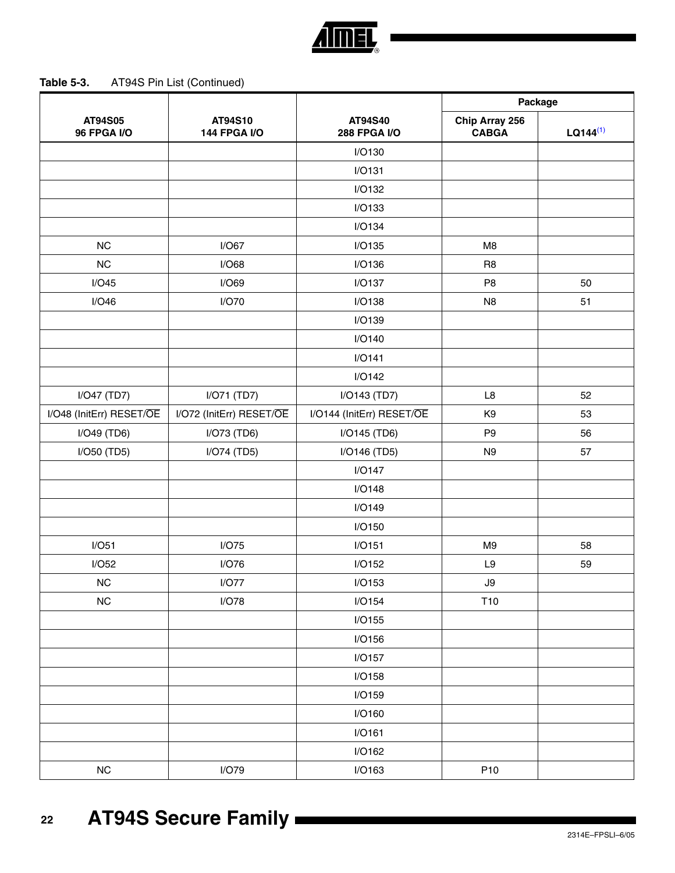

| -22 | <b>AT94S Secure Family</b> |
|-----|----------------------------|
|     |                            |

|                               |                                |                                | Package                        |               |
|-------------------------------|--------------------------------|--------------------------------|--------------------------------|---------------|
| AT94S05<br><b>96 FPGA I/O</b> | AT94S10<br><b>144 FPGA I/O</b> | AT94S40<br><b>288 FPGA I/O</b> | Chip Array 256<br><b>CABGA</b> | $LQ144^{(1)}$ |
|                               |                                | I/O130                         |                                |               |
|                               |                                | I/O131                         |                                |               |
|                               |                                | I/O132                         |                                |               |
|                               |                                | I/O133                         |                                |               |
|                               |                                | I/O134                         |                                |               |
| NC                            | I/O67                          | I/O135                         | M <sub>8</sub>                 |               |
| NC                            | I/O68                          | I/O136                         | R <sub>8</sub>                 |               |
| I/O45                         | I/O69                          | I/O137                         | P <sub>8</sub>                 | 50            |
| I/O46                         | I/O70                          | I/O138                         | N <sub>8</sub>                 | 51            |
|                               |                                | I/O139                         |                                |               |
|                               |                                | I/O140                         |                                |               |
|                               |                                | I/O141                         |                                |               |
|                               |                                | I/O142                         |                                |               |
| I/O47 (TD7)                   | I/O71 (TD7)                    | I/O143 (TD7)                   | L8                             | 52            |
| I/O48 (InitErr) RESET/OE      | I/O72 (InitErr) RESET/OE       | I/O144 (InitErr) RESET/OE      | K <sub>9</sub>                 | 53            |
| I/O49 (TD6)                   | I/O73 (TD6)                    | I/O145 (TD6)                   | P <sub>9</sub>                 | 56            |
| I/O50 (TD5)                   | I/O74 (TD5)                    | I/O146 (TD5)                   | N <sub>9</sub>                 | 57            |
|                               |                                | I/O147                         |                                |               |
|                               |                                | I/O148                         |                                |               |
|                               |                                | I/O149                         |                                |               |
|                               |                                | I/O150                         |                                |               |
| I/O51                         | I/O75                          | I/O151                         | M <sub>9</sub>                 | 58            |
| I/O52                         | I/O76                          | I/O152                         | L9                             | 59            |
| NC                            | I/O77                          | I/O153                         | $\mathsf{J}9$                  |               |
| $NC$                          | I/O78                          | I/O154                         | T10                            |               |
|                               |                                | I/O155                         |                                |               |
|                               |                                | I/O156                         |                                |               |
|                               |                                | I/O157                         |                                |               |
|                               |                                | I/O158                         |                                |               |
|                               |                                | I/O159                         |                                |               |
|                               |                                | I/O160                         |                                |               |
|                               |                                | I/O161                         |                                |               |
|                               |                                | I/O162                         |                                |               |
| ${\sf NC}$                    | I/O79                          | I/O163                         | P <sub>10</sub>                |               |

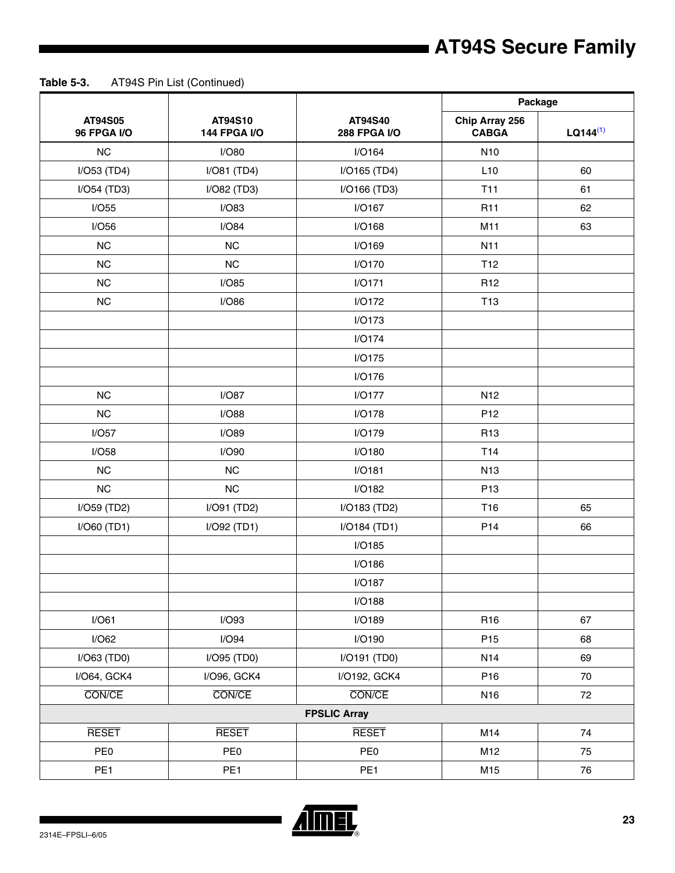|                               |                                |                                | Package                        |               |
|-------------------------------|--------------------------------|--------------------------------|--------------------------------|---------------|
| AT94S05<br><b>96 FPGA I/O</b> | AT94S10<br><b>144 FPGA I/O</b> | AT94S40<br><b>288 FPGA I/O</b> | Chip Array 256<br><b>CABGA</b> | $LQ144^{(1)}$ |
| NC                            | I/O80                          | I/O164                         | N <sub>10</sub>                |               |
| I/O53 (TD4)                   | $I/O81$ (TD4)                  | I/O165 (TD4)                   | L10                            | 60            |
| $I/O54$ (TD3)                 | I/O82 (TD3)                    | I/O166 (TD3)                   | <b>T11</b>                     | 61            |
| I/O55                         | I/O83                          | I/O167                         | R <sub>11</sub>                | 62            |
| I/O56                         | I/O84                          | I/O168                         | M11                            | 63            |
| NC                            | <b>NC</b>                      | I/O169                         | N11                            |               |
| NC                            | NC                             | I/O170                         | T <sub>12</sub>                |               |
| $NC$                          | I/O85                          | I/O171                         | R <sub>12</sub>                |               |
| NC                            | I/O86                          | I/O172                         | T <sub>13</sub>                |               |
|                               |                                | I/O173                         |                                |               |
|                               |                                | I/O174                         |                                |               |
|                               |                                | I/O175                         |                                |               |
|                               |                                | I/O176                         |                                |               |
| NC                            | I/O87                          | I/O177                         | N <sub>12</sub>                |               |
| NC                            | I/O88                          | I/O178                         | P <sub>12</sub>                |               |
| I/O57                         | I/O89                          | I/O179                         | R <sub>13</sub>                |               |
| I/O58                         | I/O90                          | I/O180                         | T14                            |               |
| NC                            | <b>NC</b>                      | I/O181                         | N <sub>13</sub>                |               |
| NC                            | NC                             | I/O182                         | P <sub>13</sub>                |               |
| I/O59 (TD2)                   | $I/O91$ (TD2)                  | I/O183 (TD2)                   | T16                            | 65            |
| I/O60 (TD1)                   | I/O92 (TD1)                    | I/O184 (TD1)                   | P <sub>14</sub>                | 66            |
|                               |                                | I/O185                         |                                |               |
|                               |                                | I/O186                         |                                |               |
|                               |                                | I/O187                         |                                |               |
|                               |                                | I/O188                         |                                |               |
| I/O61                         | I/O93                          | I/O189                         | R <sub>16</sub>                | 67            |
| I/O62                         | I/O94                          | I/O190                         | P <sub>15</sub>                | 68            |
| I/O63 (TD0)                   | I/O95 (TD0)                    | I/O191 (TD0)                   | N <sub>14</sub>                | 69            |
| I/O64, GCK4                   | I/O96, GCK4                    | I/O192, GCK4                   | P16                            | 70            |
| CON/CE                        | CON/CE                         | CON/CE                         | N16                            | 72            |
|                               |                                | <b>FPSLIC Array</b>            |                                |               |
| <b>RESET</b>                  | <b>RESET</b>                   | <b>RESET</b>                   | M14                            | 74            |
| PE <sub>0</sub>               | PE <sub>0</sub>                | PE <sub>0</sub>                | M12                            | 75            |
| PE <sub>1</sub>               | PE <sub>1</sub>                | PE <sub>1</sub>                | M15                            | 76            |

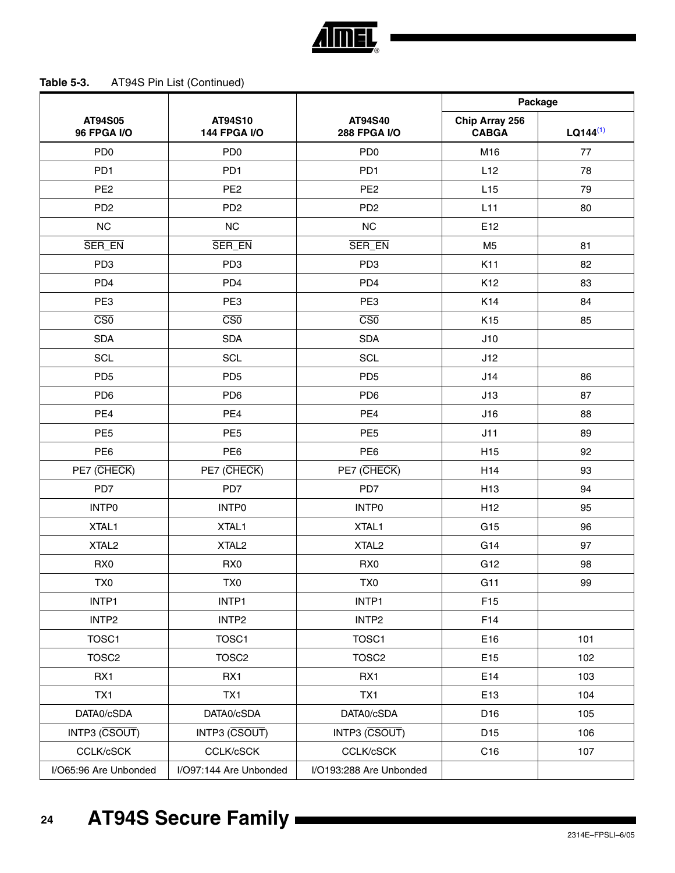

|                               |                                |                                | Package                        |               |
|-------------------------------|--------------------------------|--------------------------------|--------------------------------|---------------|
| AT94S05<br><b>96 FPGA I/O</b> | AT94S10<br><b>144 FPGA I/O</b> | AT94S40<br><b>288 FPGA I/O</b> | Chip Array 256<br><b>CABGA</b> | $LQ144^{(1)}$ |
| PD <sub>0</sub>               | PD <sub>0</sub>                | PD <sub>0</sub>                | M16                            | 77            |
| PD <sub>1</sub>               | PD <sub>1</sub>                | PD <sub>1</sub>                | L12                            | 78            |
| PE <sub>2</sub>               | PE <sub>2</sub>                | PE <sub>2</sub>                | L15                            | 79            |
| PD <sub>2</sub>               | PD <sub>2</sub>                | PD <sub>2</sub>                | L11                            | 80            |
| NC                            | NC                             | <b>NC</b>                      | E12                            |               |
| SER_EN                        | SER_EN                         | SER_EN                         | M <sub>5</sub>                 | 81            |
| PD <sub>3</sub>               | PD <sub>3</sub>                | PD <sub>3</sub>                | K11                            | 82            |
| PD <sub>4</sub>               | PD <sub>4</sub>                | PD <sub>4</sub>                | K12                            | 83            |
| PE3                           | PE3                            | PE3                            | K14                            | 84            |
| $\overline{\text{CS0}}$       | $\overline{\text{CS0}}$        | $\overline{\text{CS0}}$        | K15                            | 85            |
| <b>SDA</b>                    | <b>SDA</b>                     | <b>SDA</b>                     | J10                            |               |
| SCL                           | <b>SCL</b>                     | SCL                            | J12                            |               |
| PD <sub>5</sub>               | PD <sub>5</sub>                | PD <sub>5</sub>                | J14                            | 86            |
| PD <sub>6</sub>               | PD <sub>6</sub>                | PD <sub>6</sub>                | J13                            | 87            |
| PE4                           | PE4                            | PE4                            | J16                            | 88            |
| PE <sub>5</sub>               | PE <sub>5</sub>                | PE <sub>5</sub>                | J11                            | 89            |
| PE <sub>6</sub>               | PE <sub>6</sub>                | PE <sub>6</sub>                | H <sub>15</sub>                | 92            |
| PE7 (CHECK)                   | PE7 (CHECK)                    | PE7 (CHECK)                    | H14                            | 93            |
| PD7                           | PD7                            | PD7                            | H <sub>13</sub>                | 94            |
| <b>INTPO</b>                  | <b>INTPO</b>                   | <b>INTPO</b>                   | H <sub>12</sub>                | 95            |
| XTAL1                         | XTAL1                          | XTAL1                          | G15                            | 96            |
| XTAL <sub>2</sub>             | XTAL <sub>2</sub>              | XTAL <sub>2</sub>              | G14                            | 97            |
| RX0                           | RX0                            | RX <sub>0</sub>                | G12                            | 98            |
| TX0                           | TX0                            | TX0                            | G11                            | 99            |
| INTP1                         | INTP1                          | INTP1                          | F <sub>15</sub>                |               |
| INTP <sub>2</sub>             | INTP <sub>2</sub>              | INTP <sub>2</sub>              | F14                            |               |
| TOSC1                         | TOSC1                          | TOSC1                          | E16                            | 101           |
| TOSC <sub>2</sub>             | TOSC <sub>2</sub>              | TOSC <sub>2</sub>              | E15                            | 102           |
| RX1                           | RX1                            | RX1                            | E14                            | 103           |
| TX1                           | TX1                            | TX1                            | E13                            | 104           |
| DATA0/cSDA                    | DATA0/cSDA                     | DATA0/cSDA                     | D16                            | 105           |
| INTP3 (CSOUT)                 | INTP3 (CSOUT)                  | INTP3 (CSOUT)                  | D15                            | 106           |
| <b>CCLK/cSCK</b>              | CCLK/cSCK                      | <b>CCLK/cSCK</b>               | C16                            | 107           |
| I/O65:96 Are Unbonded         | I/O97:144 Are Unbonded         | I/O193:288 Are Unbonded        |                                |               |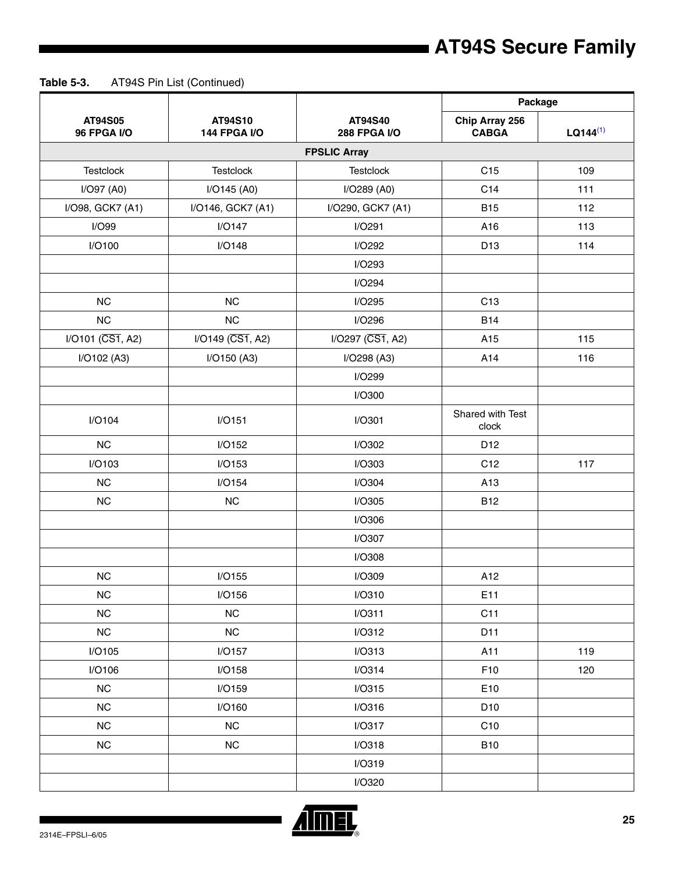|                                   |                    | AT94S10<br>AT94S40<br><b>144 FPGA I/O</b><br><b>288 FPGA I/O</b> | Package                        |               |
|-----------------------------------|--------------------|------------------------------------------------------------------|--------------------------------|---------------|
| AT94S05<br><b>96 FPGA I/O</b>     |                    |                                                                  | Chip Array 256<br><b>CABGA</b> | $LQ144^{(1)}$ |
|                                   |                    | <b>FPSLIC Array</b>                                              |                                |               |
| <b>Testclock</b>                  | <b>Testclock</b>   | <b>Testclock</b>                                                 | C15                            | 109           |
| I/O97 (A0)                        | I/O145 (A0)        | I/O289 (A0)                                                      | C14                            | 111           |
| I/O98, GCK7 (A1)                  | I/O146, GCK7 (A1)  | I/O290, GCK7 (A1)                                                | <b>B15</b>                     | 112           |
| I/O99                             | I/O147             | I/O291                                                           | A16                            | 113           |
| I/O100                            | I/O148             | I/O292                                                           | D13                            | 114           |
|                                   |                    | I/O293                                                           |                                |               |
|                                   |                    | I/O294                                                           |                                |               |
| <b>NC</b>                         | <b>NC</b>          | I/O295                                                           | C13                            |               |
| NC                                | NC                 | I/O296                                                           | <b>B14</b>                     |               |
| $I/O101$ ( $\overline{CS1}$ , A2) | $I/O149$ (CS1, A2) | I/O297 (CS1, A2)                                                 | A15                            | 115           |
| I/O102 (A3)                       | I/O150 (A3)        | I/O298 (A3)                                                      | A14                            | 116           |
|                                   |                    | I/O299                                                           |                                |               |
|                                   |                    | I/O300                                                           |                                |               |
| I/O104                            | I/O151             | I/O301                                                           | Shared with Test<br>clock      |               |
| <b>NC</b>                         | I/O152             | I/O302                                                           | D12                            |               |
| I/O103                            | I/O153             | I/O303                                                           | C12                            | 117           |
| NC                                | I/O154             | I/O304                                                           | A13                            |               |
| NC                                | NC                 | I/O305                                                           | <b>B12</b>                     |               |
|                                   |                    | I/O306                                                           |                                |               |
|                                   |                    | I/O307                                                           |                                |               |
|                                   |                    | I/O308                                                           |                                |               |
| <b>NC</b>                         | I/O155             | I/O309                                                           | A12                            |               |
| <b>NC</b>                         | I/O156             | I/O310                                                           | E11                            |               |
| <b>NC</b>                         | NC                 | I/O311                                                           | C11                            |               |
| NC                                | NC                 | I/O312                                                           | D11                            |               |
| I/O105                            | I/O157             | I/O313                                                           | A11                            | 119           |
| I/O106                            | I/O158             | I/O314                                                           | F10                            | 120           |
| NC                                | I/O159             | I/O315                                                           | E10                            |               |
| <b>NC</b>                         | I/O160             | I/O316                                                           | D <sub>10</sub>                |               |
| <b>NC</b>                         | NC                 | I/O317                                                           | C <sub>10</sub>                |               |
| NC                                | NC                 | I/O318                                                           | <b>B10</b>                     |               |
|                                   |                    | I/O319                                                           |                                |               |
|                                   |                    | I/O320                                                           |                                |               |

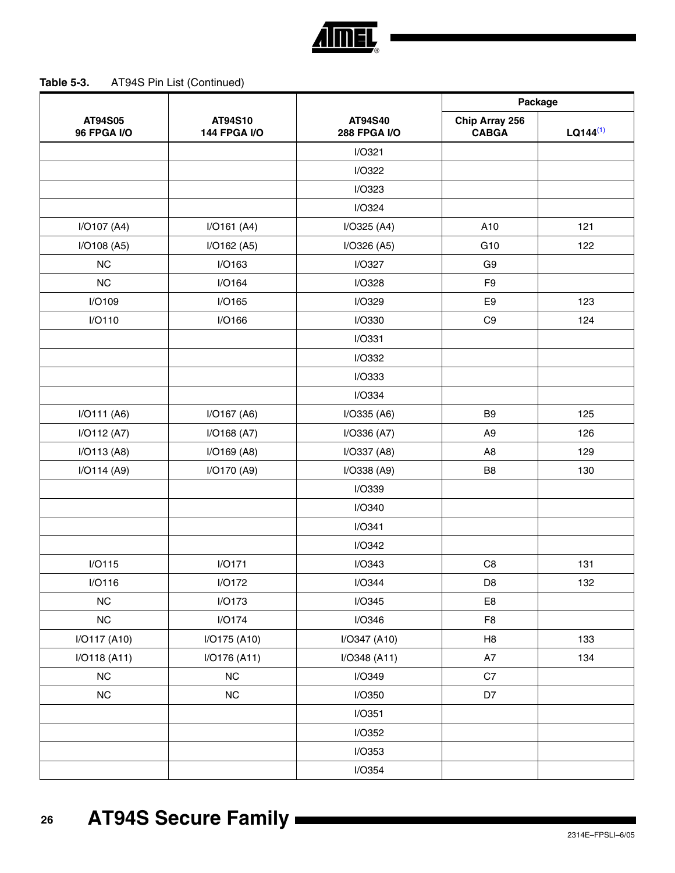

|                               |                                |                                | Package                        |               |
|-------------------------------|--------------------------------|--------------------------------|--------------------------------|---------------|
| AT94S05<br><b>96 FPGA I/O</b> | AT94S10<br><b>144 FPGA I/O</b> | AT94S40<br><b>288 FPGA I/O</b> | Chip Array 256<br><b>CABGA</b> | $LQ144^{(1)}$ |
|                               |                                | I/O321                         |                                |               |
|                               |                                | I/O322                         |                                |               |
|                               |                                | I/O323                         |                                |               |
|                               |                                | I/O324                         |                                |               |
| I/O107 (A4)                   | I/O161 (A4)                    | I/O325 (A4)                    | A10                            | 121           |
| I/O108 (A5)                   | I/O162 (A5)                    | I/O326 (A5)                    | G10                            | 122           |
| NC                            | I/O163                         | I/O327                         | G <sub>9</sub>                 |               |
| <b>NC</b>                     | I/O164                         | I/O328                         | F <sub>9</sub>                 |               |
| I/O109                        | I/O165                         | I/O329                         | E <sub>9</sub>                 | 123           |
| I/O110                        | I/O166                         | I/O330                         | C <sub>9</sub>                 | 124           |
|                               |                                | I/O331                         |                                |               |
|                               |                                | I/O332                         |                                |               |
|                               |                                | I/O333                         |                                |               |
|                               |                                | I/O334                         |                                |               |
| I/O111 (A6)                   | I/O167 (A6)                    | I/O335 (A6)                    | B <sub>9</sub>                 | 125           |
| I/O112 (A7)                   | I/O168 (A7)                    | I/O336 (A7)                    | A <sub>9</sub>                 | 126           |
| I/O113 (A8)                   | I/O169 (A8)                    | I/O337 (A8)                    | A <sub>8</sub>                 | 129           |
| I/O114 (A9)                   | I/O170 (A9)                    | I/O338 (A9)                    | B <sub>8</sub>                 | 130           |
|                               |                                | I/O339                         |                                |               |
|                               |                                | I/O340                         |                                |               |
|                               |                                | I/O341                         |                                |               |
|                               |                                | I/O342                         |                                |               |
| I/O115                        | I/O171                         | I/O343                         | C <sub>8</sub>                 | 131           |
| I/O116                        | I/O172                         | I/O344                         | D <sub>8</sub>                 | 132           |
| NC                            | I/O173                         | I/O345                         | E8                             |               |
| NC                            | I/O174                         | I/O346                         | F <sub>8</sub>                 |               |
| I/O117 (A10)                  | I/O175 (A10)                   | I/O347 (A10)                   | H8                             | 133           |
| I/O118 (A11)                  | I/O176 (A11)                   | I/O348 (A11)                   | A7                             | 134           |
| NC                            | NC                             | I/O349                         | C7                             |               |
| ${\sf NC}$                    | ${\sf NC}$                     | I/O350                         | D7                             |               |
|                               |                                | I/O351                         |                                |               |
|                               |                                | I/O352                         |                                |               |
|                               |                                | I/O353                         |                                |               |
|                               |                                | I/O354                         |                                |               |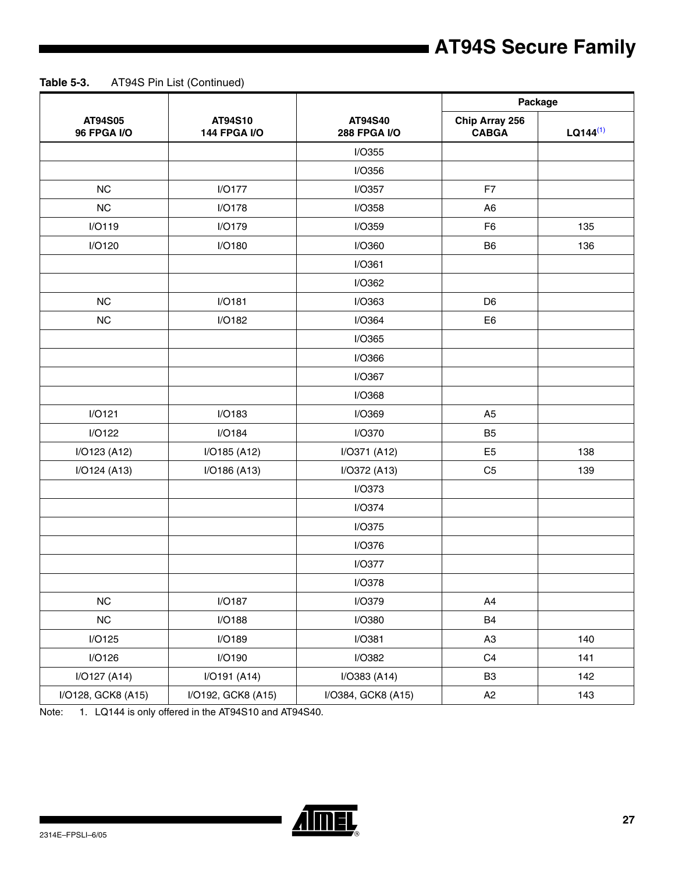**Table 5-3.** AT94S Pin List (Continued)

|                               |                                |                                | Package                        |               |
|-------------------------------|--------------------------------|--------------------------------|--------------------------------|---------------|
| AT94S05<br><b>96 FPGA I/O</b> | AT94S10<br><b>144 FPGA I/O</b> | AT94S40<br><b>288 FPGA I/O</b> | Chip Array 256<br><b>CABGA</b> | $LQ144^{(1)}$ |
|                               |                                | I/O355                         |                                |               |
|                               |                                | I/O356                         |                                |               |
| NC                            | I/O177                         | I/O357                         | F7                             |               |
| NC                            | I/O178                         | I/O358                         | A <sub>6</sub>                 |               |
| I/O119                        | I/O179                         | I/O359                         | F <sub>6</sub>                 | 135           |
| I/O120                        | I/O180                         | I/O360                         | B <sub>6</sub>                 | 136           |
|                               |                                | I/O361                         |                                |               |
|                               |                                | I/O362                         |                                |               |
| NC                            | I/O181                         | I/O363                         | D <sub>6</sub>                 |               |
| NC                            | I/O182                         | I/O364                         | E <sub>6</sub>                 |               |
|                               |                                | I/O365                         |                                |               |
|                               |                                | I/O366                         |                                |               |
|                               |                                | I/O367                         |                                |               |
|                               |                                | I/O368                         |                                |               |
| I/O121                        | I/O183                         | I/O369                         | A <sub>5</sub>                 |               |
| I/O122                        | I/O184                         | I/O370                         | B <sub>5</sub>                 |               |
| I/O123 (A12)                  | I/O185 (A12)                   | I/O371 (A12)                   | E <sub>5</sub>                 | 138           |
| I/O124 (A13)                  | I/O186 (A13)                   | I/O372 (A13)                   | C <sub>5</sub>                 | 139           |
|                               |                                | I/O373                         |                                |               |
|                               |                                | I/O374                         |                                |               |
|                               |                                | I/O375                         |                                |               |
|                               |                                | I/O376                         |                                |               |
|                               |                                | I/O377                         |                                |               |
|                               |                                | I/O378                         |                                |               |
| NC                            | I/O187                         | <b>I/O379</b>                  | A4                             |               |
| NC                            | I/O188                         | <b>I/O380</b>                  | B <sub>4</sub>                 |               |
| I/O125                        | I/O189                         | I/O381                         | A <sub>3</sub>                 | 140           |
| I/O126                        | I/O190                         | I/O382                         | C <sub>4</sub>                 | 141           |
| I/O127 (A14)                  | I/O191 (A14)                   | I/O383 (A14)                   | B <sub>3</sub>                 | 142           |
| I/O128, GCK8 (A15)            | I/O192, GCK8 (A15)             | I/O384, GCK8 (A15)             | A2                             | 143           |

<span id="page-26-0"></span>Note: 1. LQ144 is only offered in the AT94S10 and AT94S40.

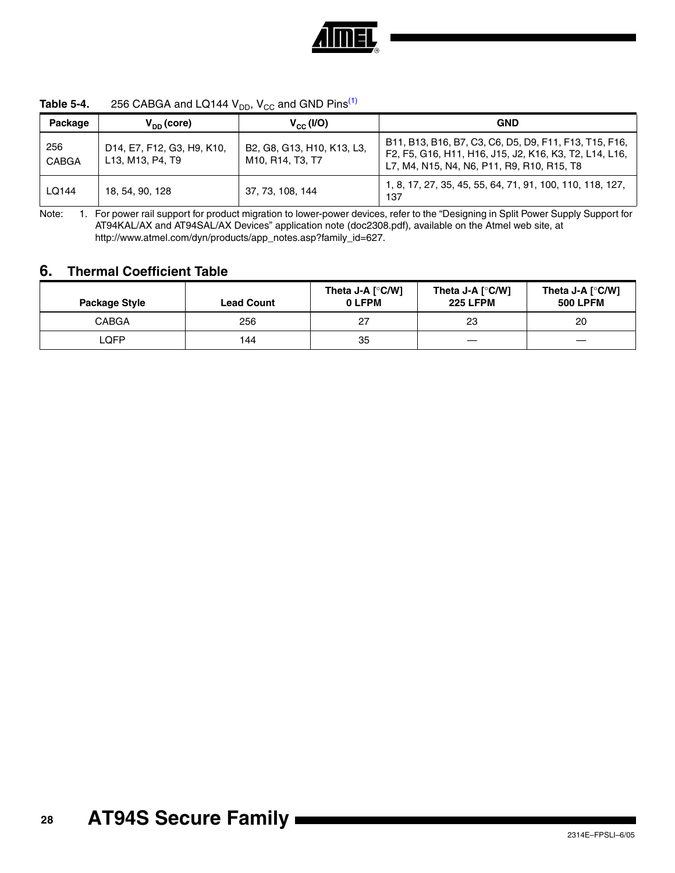

| Package      | $V_{DD}$ (core)                                                                                                                                                                 | $V_{cc}$ (I/O)                                 | <b>GND</b>                                                                                                                                                     |
|--------------|---------------------------------------------------------------------------------------------------------------------------------------------------------------------------------|------------------------------------------------|----------------------------------------------------------------------------------------------------------------------------------------------------------------|
| 256<br>CABGA | D <sub>14</sub> , E <sub>7</sub> , F <sub>12</sub> , G <sub>3</sub> , H <sub>9</sub> , K <sub>10</sub> ,<br>L <sub>13</sub> , M <sub>13</sub> , P <sub>4</sub> , T <sub>9</sub> | B2, G8, G13, H10, K13, L3,<br>M10, R14, T3, T7 | B11, B13, B16, B7, C3, C6, D5, D9, F11, F13, T15, F16,<br>F2, F5, G16, H11, H16, J15, J2, K16, K3, T2, L14, L16,<br>L7, M4, N15, N4, N6, P11, R9, R10, R15, T8 |
| LQ144        | 18, 54, 90, 128                                                                                                                                                                 | 37, 73, 108, 144                               | 1, 8, 17, 27, 35, 45, 55, 64, 71, 91, 100, 110, 118, 127,<br>137                                                                                               |

<span id="page-27-0"></span>Note: 1. For power rail support for product migration to lower-power devices, refer to the "Designing in Split Power Supply Support for AT94KAL/AX and AT94SAL/AX Devices" application note (doc2308.pdf), available on the Atmel web site, at http://www.atmel.com/dyn/products/app\_notes.asp?family\_id=627.

## **6. Thermal Coefficient Table**

| ◡             |                   |                              |                                     |                                     |  |  |
|---------------|-------------------|------------------------------|-------------------------------------|-------------------------------------|--|--|
| Package Style | <b>Lead Count</b> | Theta J-A $[°C/W]$<br>0 LFPM | Theta J-A [°C/W]<br><b>225 LFPM</b> | Theta J-A [°C/W]<br><b>500 LPFM</b> |  |  |
| <b>CABGA</b>  | 256               | 27                           | 23                                  | 20                                  |  |  |
| _QFP          | 144               | 35                           |                                     |                                     |  |  |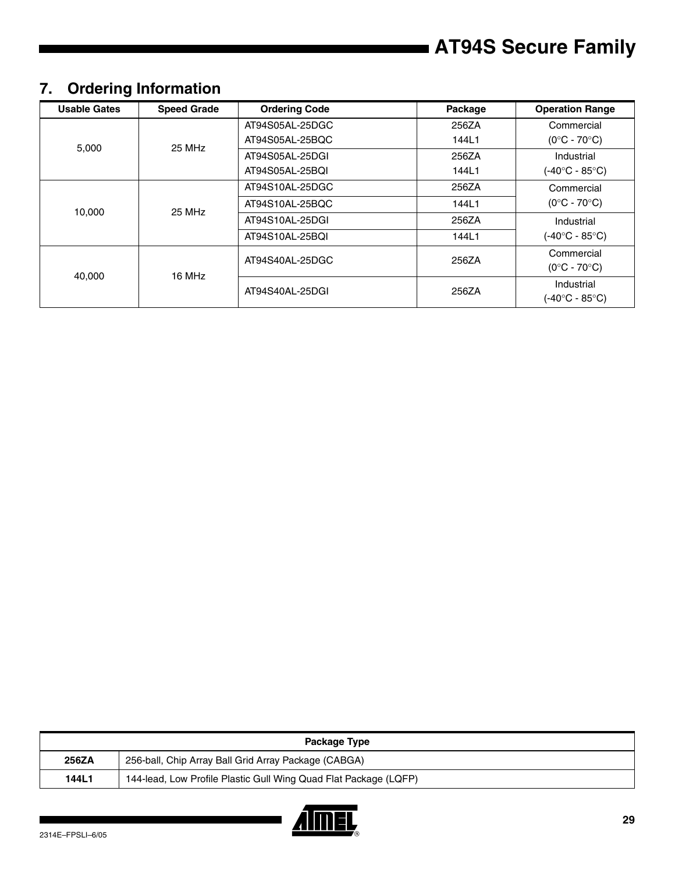## **7. Ordering Information**

| <b>Usable Gates</b> | <b>Speed Grade</b> | <b>Ordering Code</b> | Package | <b>Operation Range</b>                     |
|---------------------|--------------------|----------------------|---------|--------------------------------------------|
|                     |                    | AT94S05AL-25DGC      | 256ZA   | Commercial                                 |
| 5,000               | 25 MHz             | AT94S05AL-25BQC      | 144L1   | $(0^{\circ}C - 70^{\circ}C)$               |
|                     |                    | AT94S05AL-25DGI      | 256ZA   | Industrial                                 |
|                     |                    | AT94S05AL-25BQI      | 144L1   | $(-40^{\circ}C - 85^{\circ}C)$             |
|                     | 25 MHz             | AT94S10AL-25DGC      | 256ZA   | Commercial<br>$(0^{\circ}C - 70^{\circ}C)$ |
| 10.000              |                    | AT94S10AL-25BOC      | 144L1   |                                            |
|                     |                    | AT94S10AL-25DGI      | 256ZA   | Industrial                                 |
|                     |                    | AT94S10AL-25BQI      | 144L1   | $(-40^{\circ}C - 85^{\circ}C)$             |
|                     |                    | AT94S40AL-25DGC      | 256ZA   | Commercial                                 |
| 40,000              | 16 MHz             |                      |         | $(0^{\circ}C - 70^{\circ}C)$               |
|                     |                    | AT94S40AL-25DGI      | 256ZA   | Industrial                                 |
|                     |                    |                      |         | $(-40^{\circ}C - 85^{\circ}C)$             |

| Package Type |                                                                  |  |
|--------------|------------------------------------------------------------------|--|
| 256ZA        | 256-ball, Chip Array Ball Grid Array Package (CABGA)             |  |
| 144L1        | 144-lead, Low Profile Plastic Gull Wing Quad Flat Package (LQFP) |  |

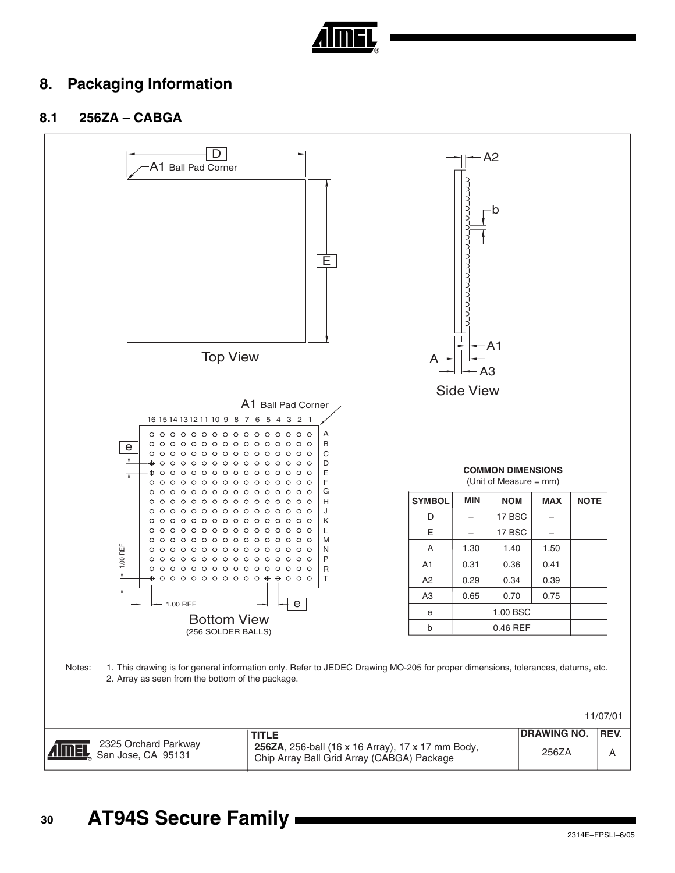

## **8. Packaging Information**

## **8.1 256ZA – CABGA**

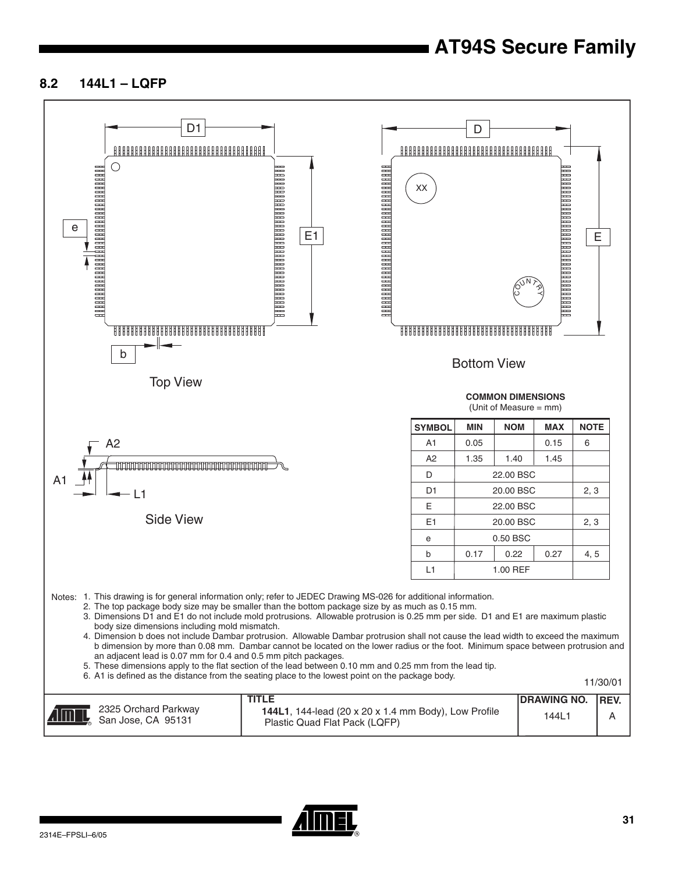## **8.2 144L1 – LQFP**